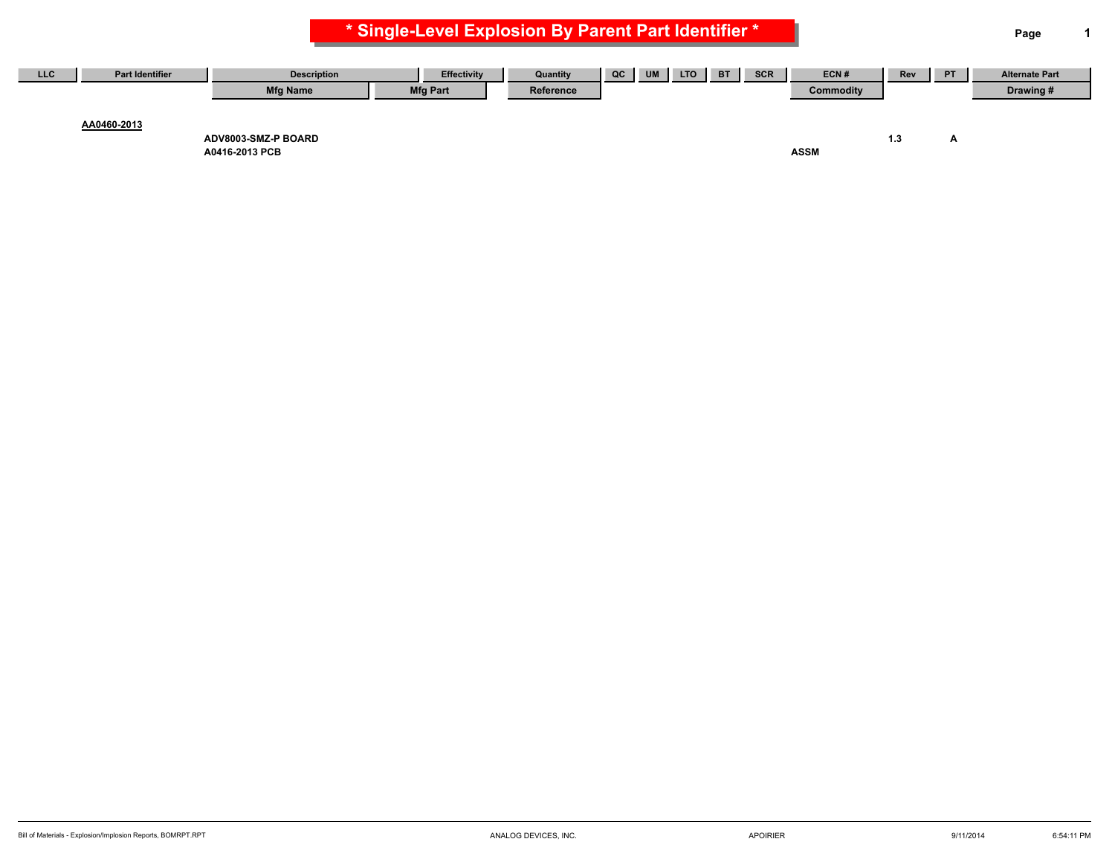**\* Single-Level Explosion By Parent Part Identifier \* Page 1**

| LLC | <b>Part Identifier</b> | <b>Description</b>  | Effectivity     | Quantity  | QC | <b>UM</b> | <b>LTO</b> | <b>BT</b> | <b>SCR</b> | ECN#      | Rev | <b>PT</b> | <b>Alternate Part</b> |
|-----|------------------------|---------------------|-----------------|-----------|----|-----------|------------|-----------|------------|-----------|-----|-----------|-----------------------|
|     |                        | <b>Mfg Name</b>     | <b>Mfg Part</b> | Reference |    |           |            |           |            | Commodity |     |           | Drawing#              |
|     |                        |                     |                 |           |    |           |            |           |            |           |     |           |                       |
|     | AA0460-2013            |                     |                 |           |    |           |            |           |            |           |     |           |                       |
|     |                        | ADV8003-SMZ-P BOARD |                 |           |    |           |            |           |            |           |     |           |                       |

**A0416-2013 PCB ASSM**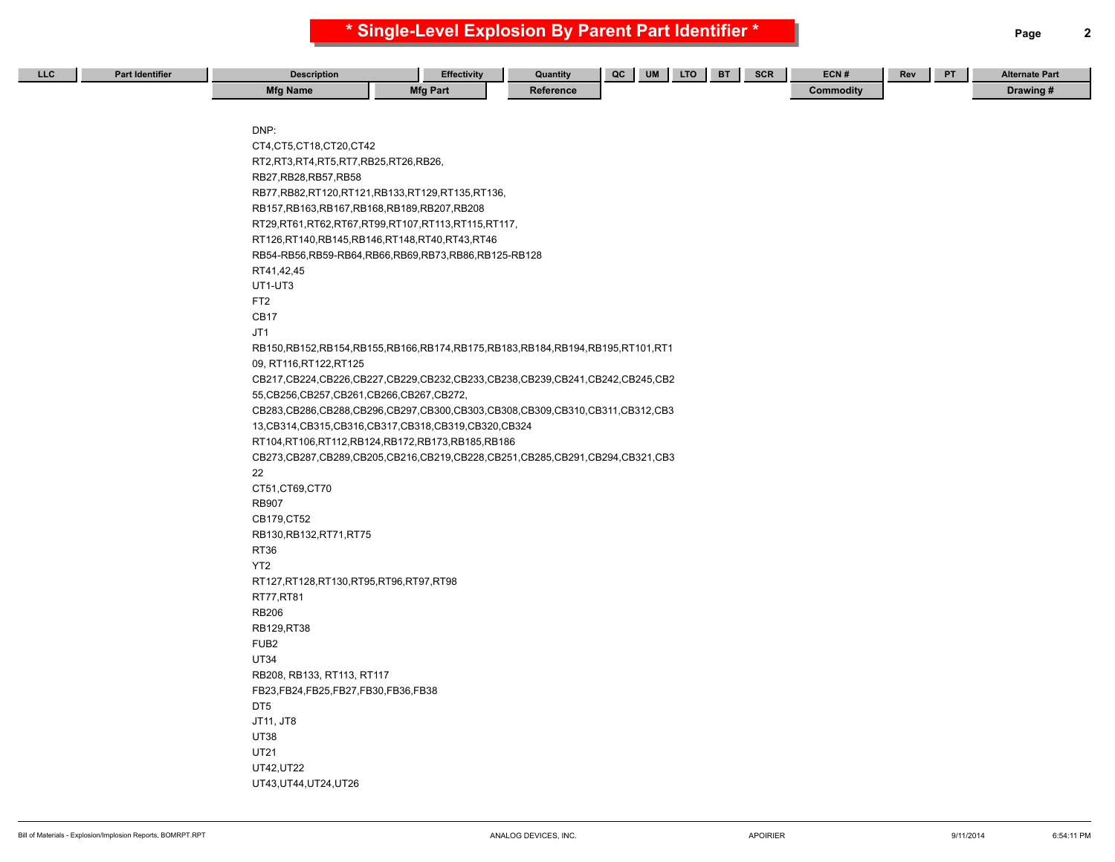| LLC | <b>Part Identifier</b> | <b>Description</b>                              | <b>Effectivity</b>                                                                      | Quantity  | QC | <b>LTO</b><br>UM | <b>BT</b> | SCR | ECN#      | Rev | PT . | <b>Alternate Part</b> |
|-----|------------------------|-------------------------------------------------|-----------------------------------------------------------------------------------------|-----------|----|------------------|-----------|-----|-----------|-----|------|-----------------------|
|     |                        | <b>Mfg Name</b>                                 | <b>Mfg Part</b>                                                                         | Reference |    |                  |           |     | Commodity |     |      | Drawing #             |
|     |                        |                                                 |                                                                                         |           |    |                  |           |     |           |     |      |                       |
|     |                        |                                                 |                                                                                         |           |    |                  |           |     |           |     |      |                       |
|     |                        | DNP:                                            |                                                                                         |           |    |                  |           |     |           |     |      |                       |
|     |                        | CT4, CT5, CT18, CT20, CT42                      |                                                                                         |           |    |                  |           |     |           |     |      |                       |
|     |                        | RT2, RT3, RT4, RT5, RT7, RB25, RT26, RB26,      |                                                                                         |           |    |                  |           |     |           |     |      |                       |
|     |                        | RB27, RB28, RB57, RB58                          |                                                                                         |           |    |                  |           |     |           |     |      |                       |
|     |                        |                                                 | RB77,RB82,RT120,RT121,RB133,RT129,RT135,RT136,                                          |           |    |                  |           |     |           |     |      |                       |
|     |                        | RB157, RB163, RB167, RB168, RB189, RB207, RB208 |                                                                                         |           |    |                  |           |     |           |     |      |                       |
|     |                        |                                                 | RT29,RT61,RT62,RT67,RT99,RT107,RT113,RT115,RT117,                                       |           |    |                  |           |     |           |     |      |                       |
|     |                        | RT126,RT140,RB145,RB146,RT148,RT40,RT43,RT46    |                                                                                         |           |    |                  |           |     |           |     |      |                       |
|     |                        |                                                 | RB54-RB56, RB59-RB64, RB66, RB69, RB73, RB86, RB125-RB128                               |           |    |                  |           |     |           |     |      |                       |
|     |                        | RT41,42,45                                      |                                                                                         |           |    |                  |           |     |           |     |      |                       |
|     |                        | UT1-UT3                                         |                                                                                         |           |    |                  |           |     |           |     |      |                       |
|     |                        | FT <sub>2</sub>                                 |                                                                                         |           |    |                  |           |     |           |     |      |                       |
|     |                        | CB <sub>17</sub>                                |                                                                                         |           |    |                  |           |     |           |     |      |                       |
|     |                        | JT1                                             |                                                                                         |           |    |                  |           |     |           |     |      |                       |
|     |                        |                                                 | RB150,RB152,RB154,RB155,RB166,RB174,RB175,RB183,RB184,RB194,RB195,RT101,RT1             |           |    |                  |           |     |           |     |      |                       |
|     |                        | 09, RT116, RT122, RT125                         |                                                                                         |           |    |                  |           |     |           |     |      |                       |
|     |                        |                                                 | CB217,CB224,CB226,CB227,CB229,CB232,CB233,CB238,CB239,CB241,CB242,CB245,CB2             |           |    |                  |           |     |           |     |      |                       |
|     |                        | 55, CB256, CB257, CB261, CB266, CB267, CB272,   |                                                                                         |           |    |                  |           |     |           |     |      |                       |
|     |                        |                                                 | CB283,CB286,CB288,CB296,CB297,CB300,CB303,CB308,CB309,CB310,CB311,CB312,CB3             |           |    |                  |           |     |           |     |      |                       |
|     |                        |                                                 | 13, CB314, CB315, CB316, CB317, CB318, CB319, CB320, CB324                              |           |    |                  |           |     |           |     |      |                       |
|     |                        |                                                 | RT104,RT106,RT112,RB124,RB172,RB173,RB185,RB186                                         |           |    |                  |           |     |           |     |      |                       |
|     |                        |                                                 | CB273, CB287, CB289, CB205, CB216, CB219, CB228, CB251, CB285, CB291, CB294, CB321, CB3 |           |    |                  |           |     |           |     |      |                       |
|     |                        | 22                                              |                                                                                         |           |    |                  |           |     |           |     |      |                       |
|     |                        | CT51,CT69,CT70<br><b>RB907</b>                  |                                                                                         |           |    |                  |           |     |           |     |      |                       |
|     |                        | CB179, CT52                                     |                                                                                         |           |    |                  |           |     |           |     |      |                       |
|     |                        |                                                 |                                                                                         |           |    |                  |           |     |           |     |      |                       |
|     |                        | RB130, RB132, RT71, RT75<br><b>RT36</b>         |                                                                                         |           |    |                  |           |     |           |     |      |                       |
|     |                        | YT <sub>2</sub>                                 |                                                                                         |           |    |                  |           |     |           |     |      |                       |
|     |                        | RT127, RT128, RT130, RT95, RT96, RT97, RT98     |                                                                                         |           |    |                  |           |     |           |     |      |                       |
|     |                        | RT77,RT81                                       |                                                                                         |           |    |                  |           |     |           |     |      |                       |
|     |                        | <b>RB206</b>                                    |                                                                                         |           |    |                  |           |     |           |     |      |                       |
|     |                        | RB129, RT38                                     |                                                                                         |           |    |                  |           |     |           |     |      |                       |
|     |                        | FUB <sub>2</sub>                                |                                                                                         |           |    |                  |           |     |           |     |      |                       |
|     |                        | <b>UT34</b>                                     |                                                                                         |           |    |                  |           |     |           |     |      |                       |
|     |                        | RB208, RB133, RT113, RT117                      |                                                                                         |           |    |                  |           |     |           |     |      |                       |
|     |                        | FB23, FB24, FB25, FB27, FB30, FB36, FB38        |                                                                                         |           |    |                  |           |     |           |     |      |                       |
|     |                        | DT <sub>5</sub>                                 |                                                                                         |           |    |                  |           |     |           |     |      |                       |
|     |                        | JT11, JT8                                       |                                                                                         |           |    |                  |           |     |           |     |      |                       |
|     |                        | <b>UT38</b>                                     |                                                                                         |           |    |                  |           |     |           |     |      |                       |
|     |                        | <b>UT21</b>                                     |                                                                                         |           |    |                  |           |     |           |     |      |                       |
|     |                        | UT42, UT22                                      |                                                                                         |           |    |                  |           |     |           |     |      |                       |
|     |                        | UT43, UT44, UT24, UT26                          |                                                                                         |           |    |                  |           |     |           |     |      |                       |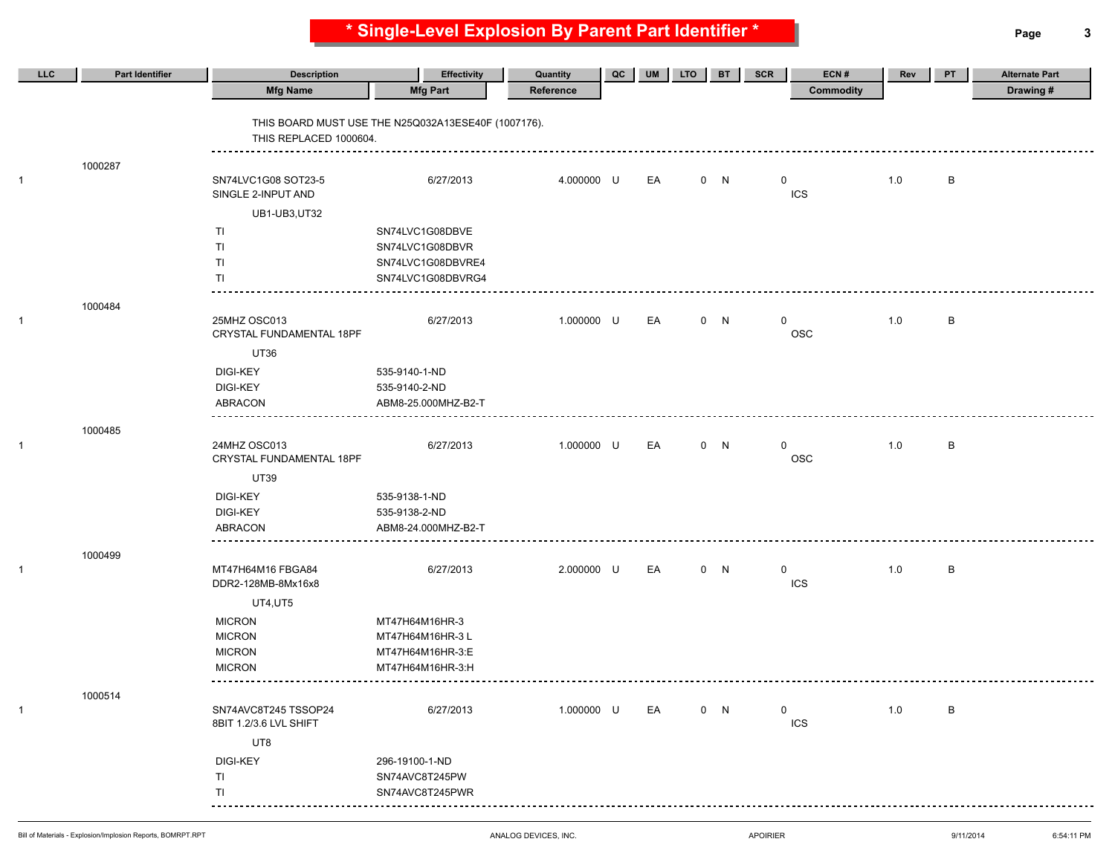**\* Single-Level Explosion By Parent Part Identifier \* Page 3**

| LLC          | <b>Part Identifier</b> | <b>Description</b>                             | <b>Effectivity</b>                                    |                       | QC | <b>UM</b> | <b>LTO</b> | <b>BT</b> | ECN#<br>SCR                | Rev | PT | <b>Alternate Part</b> |
|--------------|------------------------|------------------------------------------------|-------------------------------------------------------|-----------------------|----|-----------|------------|-----------|----------------------------|-----|----|-----------------------|
|              |                        | <b>Mfg Name</b>                                | <b>Mfg Part</b>                                       | Quantity<br>Reference |    |           |            |           | <b>Commodity</b>           |     |    | Drawing#              |
|              |                        | THIS REPLACED 1000604.                         | THIS BOARD MUST USE THE N25Q032A13ESE40F (1007176).   |                       |    |           |            |           |                            |     |    |                       |
| 1            | 1000287                | SN74LVC1G08 SOT23-5<br>SINGLE 2-INPUT AND      | 6/27/2013                                             | 4.000000 U            |    | EA        |            | 0 N       | $\mathbf 0$<br><b>ICS</b>  | 1.0 | B  |                       |
|              |                        | UB1-UB3,UT32                                   |                                                       |                       |    |           |            |           |                            |     |    |                       |
|              |                        | TI                                             | SN74LVC1G08DBVE                                       |                       |    |           |            |           |                            |     |    |                       |
|              |                        | TI.<br>TI                                      | SN74LVC1G08DBVR<br>SN74LVC1G08DBVRE4                  |                       |    |           |            |           |                            |     |    |                       |
|              |                        | ΤI                                             | SN74LVC1G08DBVRG4                                     |                       |    |           |            |           |                            |     |    |                       |
|              |                        |                                                |                                                       |                       |    |           |            |           |                            |     |    |                       |
| -1           | 1000484                | 25MHZ OSC013<br>CRYSTAL FUNDAMENTAL 18PF       | 6/27/2013                                             | 1.000000 U            |    | EA        |            | 0 N       | $\mathbf 0$<br>OSC         | 1.0 | B  |                       |
|              |                        | <b>UT36</b>                                    |                                                       |                       |    |           |            |           |                            |     |    |                       |
|              |                        | <b>DIGI-KEY</b><br>DIGI-KEY<br><b>ABRACON</b>  | 535-9140-1-ND<br>535-9140-2-ND<br>ABM8-25.000MHZ-B2-T |                       |    |           |            |           |                            |     |    |                       |
|              | 1000485                |                                                |                                                       |                       |    |           |            |           |                            |     |    |                       |
| 1            |                        | 24MHZ OSC013<br>CRYSTAL FUNDAMENTAL 18PF       | 6/27/2013                                             | 1.000000 U            |    | EA        |            | 0 N       | $\mathbf{0}$<br>OSC        | 1.0 | B  |                       |
|              |                        | <b>UT39</b>                                    |                                                       |                       |    |           |            |           |                            |     |    |                       |
|              |                        | <b>DIGI-KEY</b>                                | 535-9138-1-ND                                         |                       |    |           |            |           |                            |     |    |                       |
|              |                        | DIGI-KEY                                       | 535-9138-2-ND                                         |                       |    |           |            |           |                            |     |    |                       |
|              |                        | ABRACON                                        | ABM8-24.000MHZ-B2-T                                   |                       |    |           |            |           |                            |     |    |                       |
|              | 1000499                |                                                |                                                       |                       |    |           |            |           |                            |     |    |                       |
| $\mathbf{1}$ |                        | MT47H64M16 FBGA84<br>DDR2-128MB-8Mx16x8        | 6/27/2013                                             | 2.000000 U            |    | EA        |            | 0 N       | $\mathbf{0}$<br><b>ICS</b> | 1.0 | B  |                       |
|              |                        | UT4,UT5                                        |                                                       |                       |    |           |            |           |                            |     |    |                       |
|              |                        | <b>MICRON</b>                                  | MT47H64M16HR-3                                        |                       |    |           |            |           |                            |     |    |                       |
|              |                        | <b>MICRON</b>                                  | MT47H64M16HR-3 L                                      |                       |    |           |            |           |                            |     |    |                       |
|              |                        | <b>MICRON</b>                                  | MT47H64M16HR-3:E                                      |                       |    |           |            |           |                            |     |    |                       |
|              |                        | <b>MICRON</b>                                  | MT47H64M16HR-3:H                                      |                       |    |           |            |           |                            |     |    |                       |
|              | 1000514                |                                                |                                                       |                       |    |           |            |           |                            |     |    |                       |
| -1           |                        | SN74AVC8T245 TSSOP24<br>8BIT 1.2/3.6 LVL SHIFT | 6/27/2013                                             | 1.000000 U            |    | EA        |            | 0 N       | $\mathbf{0}$<br>ICS        | 1.0 | B  |                       |
|              |                        | UT8                                            |                                                       |                       |    |           |            |           |                            |     |    |                       |
|              |                        | <b>DIGI-KEY</b>                                | 296-19100-1-ND                                        |                       |    |           |            |           |                            |     |    |                       |
|              |                        | TI                                             | SN74AVC8T245PW                                        |                       |    |           |            |           |                            |     |    |                       |
|              |                        | TI<br>--------                                 | SN74AVC8T245PWR                                       |                       |    |           |            |           |                            |     |    |                       |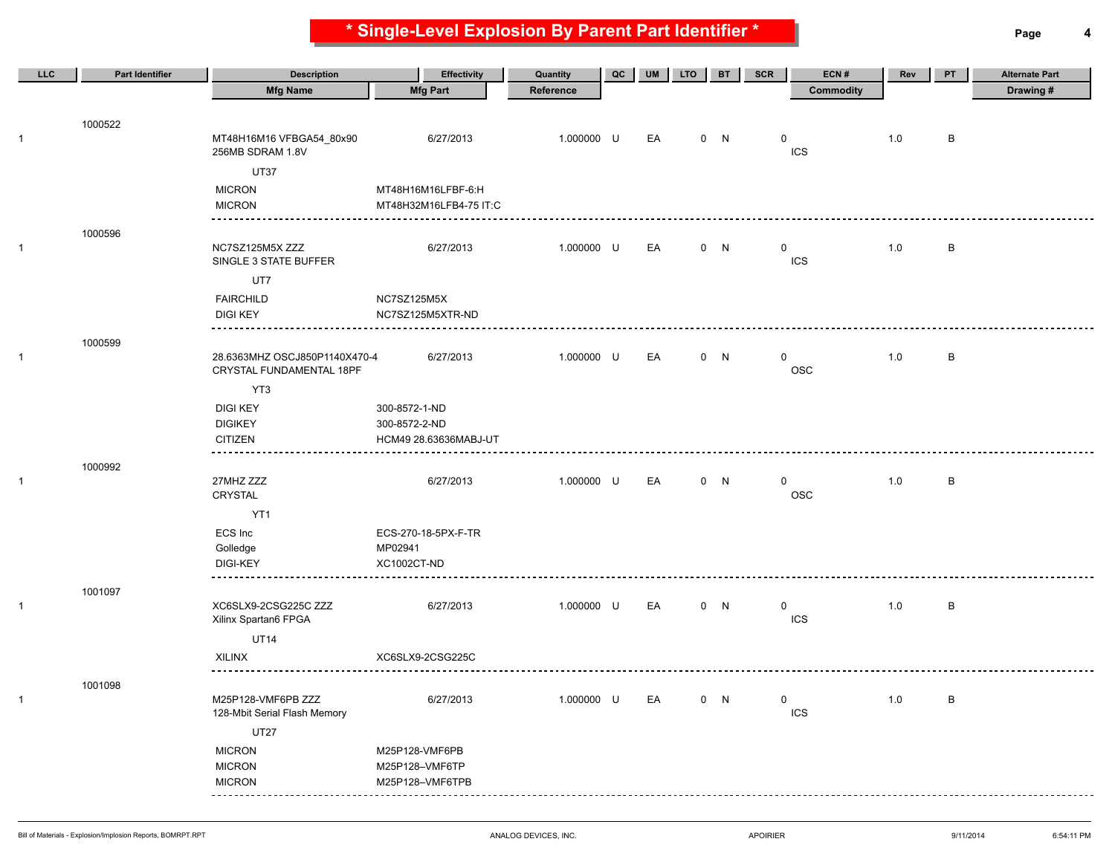**\* Single-Level Explosion By Parent Part Identifier \* Page 4**

| LLC          | <b>Part Identifier</b> | <b>Description</b>                                        | <b>Effectivity</b>     | Quantity   | QC | <b>UM</b> | <b>LTO</b> | <b>BT</b> | <b>SCR</b>  | ECN#             | Rev     | PT      | <b>Alternate Part</b> |
|--------------|------------------------|-----------------------------------------------------------|------------------------|------------|----|-----------|------------|-----------|-------------|------------------|---------|---------|-----------------------|
|              |                        | <b>Mfg Name</b>                                           | <b>Mfg Part</b>        | Reference  |    |           |            |           |             | <b>Commodity</b> |         |         | Drawing #             |
|              |                        |                                                           |                        |            |    |           |            |           |             |                  |         |         |                       |
| 1            | 1000522                | MT48H16M16 VFBGA54_80x90<br>256MB SDRAM 1.8V              | 6/27/2013              | 1.000000 U |    | EA        |            | 0 N       | 0           | ICS              | 1.0     | B       |                       |
|              |                        | <b>UT37</b>                                               |                        |            |    |           |            |           |             |                  |         |         |                       |
|              |                        | <b>MICRON</b>                                             | MT48H16M16LFBF-6:H     |            |    |           |            |           |             |                  |         |         |                       |
|              |                        | <b>MICRON</b>                                             | MT48H32M16LFB4-75 IT:C |            |    |           |            |           |             |                  |         |         |                       |
|              | 1000596                |                                                           |                        |            |    |           |            |           |             |                  |         |         |                       |
| 1            |                        | NC7SZ125M5X ZZZ<br>SINGLE 3 STATE BUFFER                  | 6/27/2013              | 1.000000 U |    | EA        |            | 0 N       | 0           | <b>ICS</b>       | 1.0     | B       |                       |
|              |                        | UT7                                                       |                        |            |    |           |            |           |             |                  |         |         |                       |
|              |                        | <b>FAIRCHILD</b>                                          | NC7SZ125M5X            |            |    |           |            |           |             |                  |         |         |                       |
|              |                        | <b>DIGI KEY</b>                                           | NC7SZ125M5XTR-ND       |            |    |           |            |           |             |                  |         |         |                       |
|              | 1000599                |                                                           |                        |            |    |           |            |           |             |                  |         |         |                       |
| 1            |                        | 28.6363MHZ OSCJ850P1140X470-4<br>CRYSTAL FUNDAMENTAL 18PF | 6/27/2013              | 1.000000 U |    | EA        |            | 0 N       | 0           | <b>OSC</b>       | 1.0     | В       |                       |
|              |                        | YT3                                                       |                        |            |    |           |            |           |             |                  |         |         |                       |
|              |                        | <b>DIGI KEY</b>                                           | 300-8572-1-ND          |            |    |           |            |           |             |                  |         |         |                       |
|              |                        | <b>DIGIKEY</b>                                            | 300-8572-2-ND          |            |    |           |            |           |             |                  |         |         |                       |
|              |                        | <b>CITIZEN</b>                                            | HCM49 28.63636MABJ-UT  |            |    |           |            |           |             |                  |         |         |                       |
|              | 1000992                |                                                           |                        |            |    |           |            |           |             |                  |         |         |                       |
| $\mathbf{1}$ |                        | 27MHZ ZZZ<br>CRYSTAL                                      | 6/27/2013              | 1.000000 U |    | EA        |            | 0 N       | 0           | <b>OSC</b>       | 1.0     | B       |                       |
|              |                        | YT1                                                       |                        |            |    |           |            |           |             |                  |         |         |                       |
|              |                        | ECS Inc                                                   | ECS-270-18-5PX-F-TR    |            |    |           |            |           |             |                  |         |         |                       |
|              |                        | Golledge<br><b>DIGI-KEY</b>                               | MP02941<br>XC1002CT-ND |            |    |           |            |           |             |                  |         |         |                       |
|              |                        |                                                           |                        |            |    |           |            |           |             |                  |         |         |                       |
|              | 1001097                |                                                           |                        |            |    |           |            |           |             |                  |         |         |                       |
| $\mathbf{1}$ |                        | XC6SLX9-2CSG225C ZZZ<br>Xilinx Spartan6 FPGA              | 6/27/2013              | 1.000000 U |    | EA        |            | 0 N       | 0           | <b>ICS</b>       | 1.0     | B       |                       |
|              |                        | <b>UT14</b>                                               |                        |            |    |           |            |           |             |                  |         |         |                       |
|              |                        | <b>XILINX</b>                                             | XC6SLX9-2CSG225C       |            |    |           |            |           |             |                  |         |         |                       |
|              | 1001098                |                                                           |                        |            |    |           |            |           |             |                  |         |         |                       |
| $\mathbf{1}$ |                        | M25P128-VMF6PB ZZZ<br>128-Mbit Serial Flash Memory        | 6/27/2013              | 1.000000 U |    | EA        |            | 0 N       | $\mathbf 0$ | ICS              | $1.0\,$ | $\sf B$ |                       |
|              |                        | <b>UT27</b>                                               |                        |            |    |           |            |           |             |                  |         |         |                       |
|              |                        | <b>MICRON</b>                                             | M25P128-VMF6PB         |            |    |           |            |           |             |                  |         |         |                       |
|              |                        | <b>MICRON</b>                                             | M25P128-VMF6TP         |            |    |           |            |           |             |                  |         |         |                       |
|              |                        | <b>MICRON</b>                                             | M25P128-VMF6TPB        |            |    |           |            |           |             |                  |         |         |                       |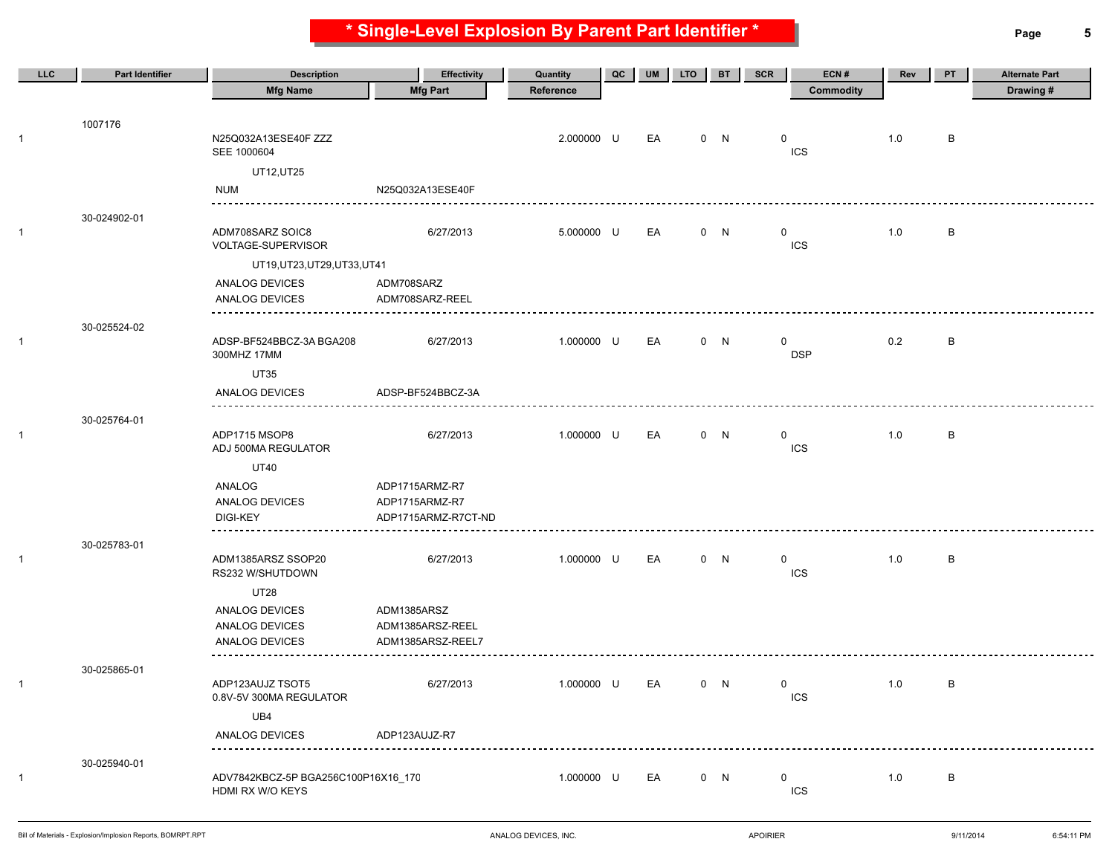**\* Single-Level Explosion By Parent Part Identifier \* Page 5**

| <b>LLC</b>   | <b>Part Identifier</b> | <b>Description</b>                                      | <b>Effectivity</b>            | Quantity   | QC | UM | <b>LTO</b> | <b>BT</b> | ECN#<br><b>SCR</b>         | Rev | PT | <b>Alternate Part</b> |
|--------------|------------------------|---------------------------------------------------------|-------------------------------|------------|----|----|------------|-----------|----------------------------|-----|----|-----------------------|
|              |                        | <b>Mfg Name</b>                                         | <b>Mfg Part</b>               | Reference  |    |    |            |           | Commodity                  |     |    | Drawing#              |
|              |                        |                                                         |                               |            |    |    |            |           |                            |     |    |                       |
| 1            | 1007176                | N25Q032A13ESE40F ZZZ<br>SEE 1000604                     |                               | 2.000000 U |    | EA |            | 0 N       | 0<br>ICS                   | 1.0 | В  |                       |
|              |                        | UT12, UT25                                              |                               |            |    |    |            |           |                            |     |    |                       |
|              |                        | NUM                                                     | N25Q032A13ESE40F              |            |    |    |            |           |                            |     |    |                       |
|              | 30-024902-01           |                                                         |                               |            |    |    |            |           |                            |     |    |                       |
|              |                        | ADM708SARZ SOIC8<br>VOLTAGE-SUPERVISOR                  | 6/27/2013                     | 5.000000 U |    | EA |            | 0 N       | $\mathbf 0$<br><b>ICS</b>  | 1.0 | В  |                       |
|              |                        | UT19, UT23, UT29, UT33, UT41                            |                               |            |    |    |            |           |                            |     |    |                       |
|              |                        | ANALOG DEVICES<br>ANALOG DEVICES                        | ADM708SARZ<br>ADM708SARZ-REEL |            |    |    |            |           |                            |     |    |                       |
|              |                        |                                                         |                               |            |    |    |            |           |                            |     |    |                       |
| 1            | 30-025524-02           | ADSP-BF524BBCZ-3A BGA208<br>300MHZ 17MM                 | 6/27/2013                     | 1.000000 U |    | EA |            | 0 N       | 0<br><b>DSP</b>            | 0.2 | в  |                       |
|              |                        | <b>UT35</b>                                             |                               |            |    |    |            |           |                            |     |    |                       |
|              |                        | ANALOG DEVICES                                          | ADSP-BF524BBCZ-3A             |            |    |    |            |           |                            |     |    |                       |
|              | 30-025764-01           |                                                         |                               |            |    |    |            |           |                            |     |    |                       |
|              |                        | ADP1715 MSOP8<br>ADJ 500MA REGULATOR                    | 6/27/2013                     | 1.000000 U |    | EA |            | 0 N       | $\mathbf 0$<br><b>ICS</b>  | 1.0 | В  |                       |
|              |                        | <b>UT40</b>                                             |                               |            |    |    |            |           |                            |     |    |                       |
|              |                        | ANALOG                                                  | ADP1715ARMZ-R7                |            |    |    |            |           |                            |     |    |                       |
|              |                        | ANALOG DEVICES                                          | ADP1715ARMZ-R7                |            |    |    |            |           |                            |     |    |                       |
|              |                        | DIGI-KEY                                                | ADP1715ARMZ-R7CT-ND           |            |    |    |            |           |                            |     |    |                       |
| $\mathbf{1}$ | 30-025783-01           | ADM1385ARSZ SSOP20<br>RS232 W/SHUTDOWN                  | 6/27/2013                     | 1.000000 U |    | EA |            | 0 N       | $\mathbf{0}$<br><b>ICS</b> | 1.0 | в  |                       |
|              |                        | <b>UT28</b>                                             |                               |            |    |    |            |           |                            |     |    |                       |
|              |                        | ANALOG DEVICES                                          | ADM1385ARSZ                   |            |    |    |            |           |                            |     |    |                       |
|              |                        | ANALOG DEVICES                                          | ADM1385ARSZ-REEL              |            |    |    |            |           |                            |     |    |                       |
|              |                        | ANALOG DEVICES                                          | ADM1385ARSZ-REEL7             |            |    |    |            |           |                            |     |    |                       |
| 1            | 30-025865-01           | ADP123AUJZ TSOT5                                        | 6/27/2013                     | 1.000000 U |    | EA |            | 0 N       | $\mathbf 0$                | 1.0 | В  |                       |
|              |                        | 0.8V-5V 300MA REGULATOR                                 |                               |            |    |    |            |           | <b>ICS</b>                 |     |    |                       |
|              |                        | UB4                                                     |                               |            |    |    |            |           |                            |     |    |                       |
|              |                        | ANALOG DEVICES                                          | ADP123AUJZ-R7                 |            |    |    |            |           |                            |     |    |                       |
|              | 30-025940-01           |                                                         |                               |            |    |    |            |           |                            |     |    |                       |
| 1            |                        | ADV7842KBCZ-5P BGA256C100P16X16_170<br>HDMI RX W/O KEYS |                               | 1.000000 U |    | EA |            | 0 N       | 0<br>ICS                   | 1.0 | B  |                       |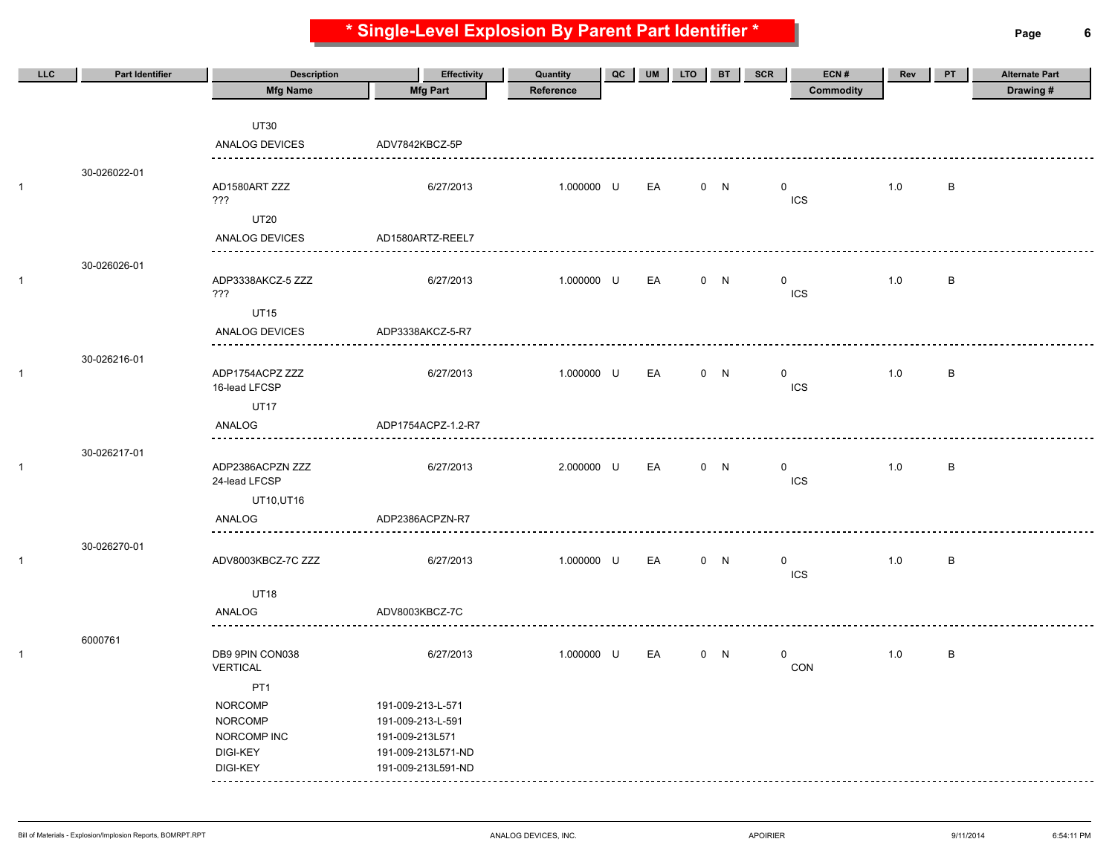**\* Single-Level Explosion By Parent Part Identifier \* Page 6**

| LLC | <b>Part Identifier</b> | <b>Description</b>                | Effectivity        | Quantity   | QC | UM | <b>LTO</b> | <b>BT</b> | <b>SCR</b>   | ECN#       | Rev | PT      | <b>Alternate Part</b> |
|-----|------------------------|-----------------------------------|--------------------|------------|----|----|------------|-----------|--------------|------------|-----|---------|-----------------------|
|     |                        | <b>Mfg Name</b>                   | <b>Mfg Part</b>    | Reference  |    |    |            |           |              | Commodity  |     |         | Drawing#              |
|     |                        |                                   |                    |            |    |    |            |           |              |            |     |         |                       |
|     |                        | <b>UT30</b>                       |                    |            |    |    |            |           |              |            |     |         |                       |
|     |                        | <b>ANALOG DEVICES</b>             | ADV7842KBCZ-5P     |            |    |    |            |           |              |            |     |         |                       |
|     | 30-026022-01           |                                   |                    |            |    |    |            |           |              |            |     |         |                       |
|     |                        | AD1580ART ZZZ<br>???              | 6/27/2013          | 1.000000 U |    | EA |            | 0 N       | $\mathbf 0$  | ICS        | 1.0 | В       |                       |
|     |                        | <b>UT20</b>                       |                    |            |    |    |            |           |              |            |     |         |                       |
|     |                        | <b>ANALOG DEVICES</b>             | AD1580ARTZ-REEL7   |            |    |    |            |           |              |            |     |         |                       |
|     | 30-026026-01           |                                   |                    |            |    |    |            |           |              |            |     |         |                       |
|     |                        | ADP3338AKCZ-5 ZZZ<br>???          | 6/27/2013          | 1.000000 U |    | EA |            | 0 N       | $\mathbf 0$  | ICS        | 1.0 | B       |                       |
|     |                        | <b>UT15</b>                       |                    |            |    |    |            |           |              |            |     |         |                       |
|     |                        | ANALOG DEVICES                    | ADP3338AKCZ-5-R7   |            |    |    |            |           |              |            |     |         |                       |
|     | 30-026216-01           | .                                 |                    |            |    |    |            |           |              |            |     |         |                       |
|     |                        | ADP1754ACPZ ZZZ<br>16-lead LFCSP  | 6/27/2013          | 1.000000 U |    | EA |            | 0 N       | $\mathbf{0}$ | <b>ICS</b> | 1.0 | $\sf B$ |                       |
|     |                        | <b>UT17</b>                       |                    |            |    |    |            |           |              |            |     |         |                       |
|     |                        | ANALOG<br>----------              | ADP1754ACPZ-1.2-R7 |            |    |    |            |           |              |            |     |         |                       |
|     | 30-026217-01           |                                   |                    |            |    |    |            |           |              |            |     |         |                       |
|     |                        | ADP2386ACPZN ZZZ<br>24-lead LFCSP | 6/27/2013          | 2.000000 U |    | EA |            | 0 N       | $\mathbf{0}$ | <b>ICS</b> | 1.0 | В       |                       |
|     |                        | UT10,UT16                         |                    |            |    |    |            |           |              |            |     |         |                       |
|     |                        | ANALOG<br><u>.</u>                | ADP2386ACPZN-R7    |            |    |    |            |           |              |            |     |         |                       |
|     | 30-026270-01           |                                   |                    |            |    |    |            |           |              |            |     |         |                       |
|     |                        | ADV8003KBCZ-7C ZZZ                | 6/27/2013          | 1.000000 U |    | EA |            | 0 N       | $\mathbf 0$  | ICS        | 1.0 | В       |                       |
|     |                        | <b>UT18</b>                       |                    |            |    |    |            |           |              |            |     |         |                       |
|     |                        | ANALOG                            | ADV8003KBCZ-7C     |            |    |    |            |           |              |            |     |         |                       |
|     |                        |                                   |                    |            |    |    |            |           |              |            |     |         |                       |
|     | 6000761                | DB9 9PIN CON038                   | 6/27/2013          | 1.000000 U |    | EA |            | 0 N       | $\mathbf 0$  |            | 1.0 | $\sf B$ |                       |
|     |                        | <b>VERTICAL</b>                   |                    |            |    |    |            |           |              | CON        |     |         |                       |
|     |                        | PT <sub>1</sub>                   |                    |            |    |    |            |           |              |            |     |         |                       |
|     |                        | <b>NORCOMP</b>                    | 191-009-213-L-571  |            |    |    |            |           |              |            |     |         |                       |
|     |                        | <b>NORCOMP</b>                    | 191-009-213-L-591  |            |    |    |            |           |              |            |     |         |                       |
|     |                        | NORCOMP INC                       | 191-009-213L571    |            |    |    |            |           |              |            |     |         |                       |
|     |                        | <b>DIGI-KEY</b>                   | 191-009-213L571-ND |            |    |    |            |           |              |            |     |         |                       |
|     |                        | DIGI-KEY                          | 191-009-213L591-ND |            |    |    |            |           |              |            |     |         |                       |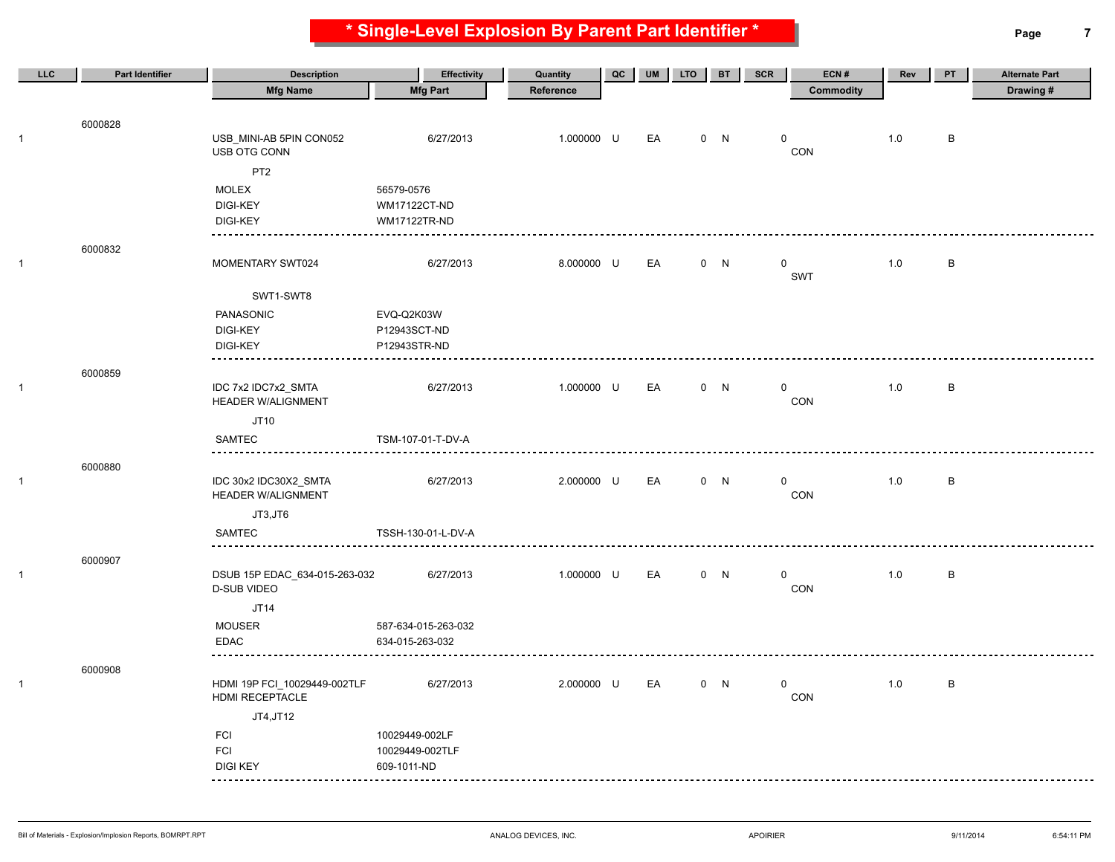**\* Single-Level Explosion By Parent Part Identifier \* Page 7**

| LLC          | <b>Part Identifier</b> | <b>Description</b>                                  | <b>Effectivity</b>  | Quantity   | QC | <b>UM</b> | <b>LTO</b> | <b>BT</b> | <b>SCR</b>  | ECN#             | Rev | PT      | <b>Alternate Part</b> |
|--------------|------------------------|-----------------------------------------------------|---------------------|------------|----|-----------|------------|-----------|-------------|------------------|-----|---------|-----------------------|
|              |                        | <b>Mfg Name</b>                                     | <b>Mfg Part</b>     | Reference  |    |           |            |           |             | <b>Commodity</b> |     |         | Drawing#              |
|              |                        |                                                     |                     |            |    |           |            |           |             |                  |     |         |                       |
|              | 6000828                |                                                     |                     |            |    |           |            |           |             |                  |     |         |                       |
| $\mathbf{1}$ |                        | USB_MINI-AB 5PIN CON052<br>USB OTG CONN             | 6/27/2013           | 1.000000 U |    | EA        |            | 0 N       | 0           | CON              | 1.0 | В       |                       |
|              |                        | PT <sub>2</sub>                                     |                     |            |    |           |            |           |             |                  |     |         |                       |
|              |                        | MOLEX                                               | 56579-0576          |            |    |           |            |           |             |                  |     |         |                       |
|              |                        | <b>DIGI-KEY</b>                                     | <b>WM17122CT-ND</b> |            |    |           |            |           |             |                  |     |         |                       |
|              |                        | <b>DIGI-KEY</b>                                     | <b>WM17122TR-ND</b> |            |    |           |            |           |             |                  |     |         |                       |
|              | 6000832                |                                                     |                     |            |    |           |            |           |             |                  |     |         |                       |
| $\mathbf{1}$ |                        | MOMENTARY SWT024                                    | 6/27/2013           | 8.000000 U |    | EA        |            | 0 N       | $\mathbf 0$ |                  | 1.0 | B       |                       |
|              |                        |                                                     |                     |            |    |           |            |           |             | SWT              |     |         |                       |
|              |                        | SWT1-SWT8                                           |                     |            |    |           |            |           |             |                  |     |         |                       |
|              |                        | PANASONIC                                           | EVQ-Q2K03W          |            |    |           |            |           |             |                  |     |         |                       |
|              |                        | <b>DIGI-KEY</b>                                     | P12943SCT-ND        |            |    |           |            |           |             |                  |     |         |                       |
|              |                        | <b>DIGI-KEY</b><br>.                                | P12943STR-ND        |            |    |           |            |           |             |                  |     |         |                       |
|              | 6000859                |                                                     |                     |            |    |           |            |           |             |                  |     |         |                       |
| $\mathbf{1}$ |                        | IDC 7x2 IDC7x2_SMTA                                 | 6/27/2013           | 1.000000 U |    | EA        |            | 0 N       | 0           |                  | 1.0 | В       |                       |
|              |                        | <b>HEADER W/ALIGNMENT</b>                           |                     |            |    |           |            |           |             | CON              |     |         |                       |
|              |                        | JT10                                                |                     |            |    |           |            |           |             |                  |     |         |                       |
|              |                        | <b>SAMTEC</b>                                       | TSM-107-01-T-DV-A   |            |    |           |            |           |             |                  |     |         |                       |
|              | 6000880                |                                                     |                     |            |    |           |            |           |             |                  |     |         |                       |
| $\mathbf{1}$ |                        | IDC 30x2 IDC30X2_SMTA                               | 6/27/2013           | 2.000000 U |    | EA        |            | 0 N       | $\mathbf 0$ |                  | 1.0 | $\sf B$ |                       |
|              |                        | <b>HEADER W/ALIGNMENT</b>                           |                     |            |    |           |            |           |             | CON              |     |         |                       |
|              |                        | JT3,JT6                                             |                     |            |    |           |            |           |             |                  |     |         |                       |
|              |                        | SAMTEC                                              | TSSH-130-01-L-DV-A  |            |    |           |            |           |             |                  |     |         |                       |
|              | 6000907                |                                                     |                     |            |    |           |            |           |             |                  |     |         |                       |
| $\mathbf{1}$ |                        | DSUB 15P EDAC_634-015-263-032<br><b>D-SUB VIDEO</b> | 6/27/2013           | 1.000000 U |    | EA        |            | 0 N       | 0           | CON              | 1.0 | В       |                       |
|              |                        | JT14                                                |                     |            |    |           |            |           |             |                  |     |         |                       |
|              |                        | <b>MOUSER</b>                                       | 587-634-015-263-032 |            |    |           |            |           |             |                  |     |         |                       |
|              |                        | EDAC                                                | 634-015-263-032     |            |    |           |            |           |             |                  |     |         |                       |
|              |                        |                                                     |                     |            |    |           |            |           |             |                  |     |         |                       |
|              | 6000908                |                                                     |                     |            |    | EA        |            |           | $\mathbf 0$ |                  |     |         |                       |
| $\mathbf{1}$ |                        | HDMI 19P FCI_10029449-002TLF<br>HDMI RECEPTACLE     | 6/27/2013           | 2.000000 U |    |           |            | 0 N       |             | CON              | 1.0 | В       |                       |
|              |                        | JT4, JT12                                           |                     |            |    |           |            |           |             |                  |     |         |                       |
|              |                        | <b>FCI</b>                                          | 10029449-002LF      |            |    |           |            |           |             |                  |     |         |                       |
|              |                        | <b>FCI</b>                                          | 10029449-002TLF     |            |    |           |            |           |             |                  |     |         |                       |
|              |                        | <b>DIGI KEY</b><br>----                             | 609-1011-ND         |            |    |           |            |           |             |                  |     |         |                       |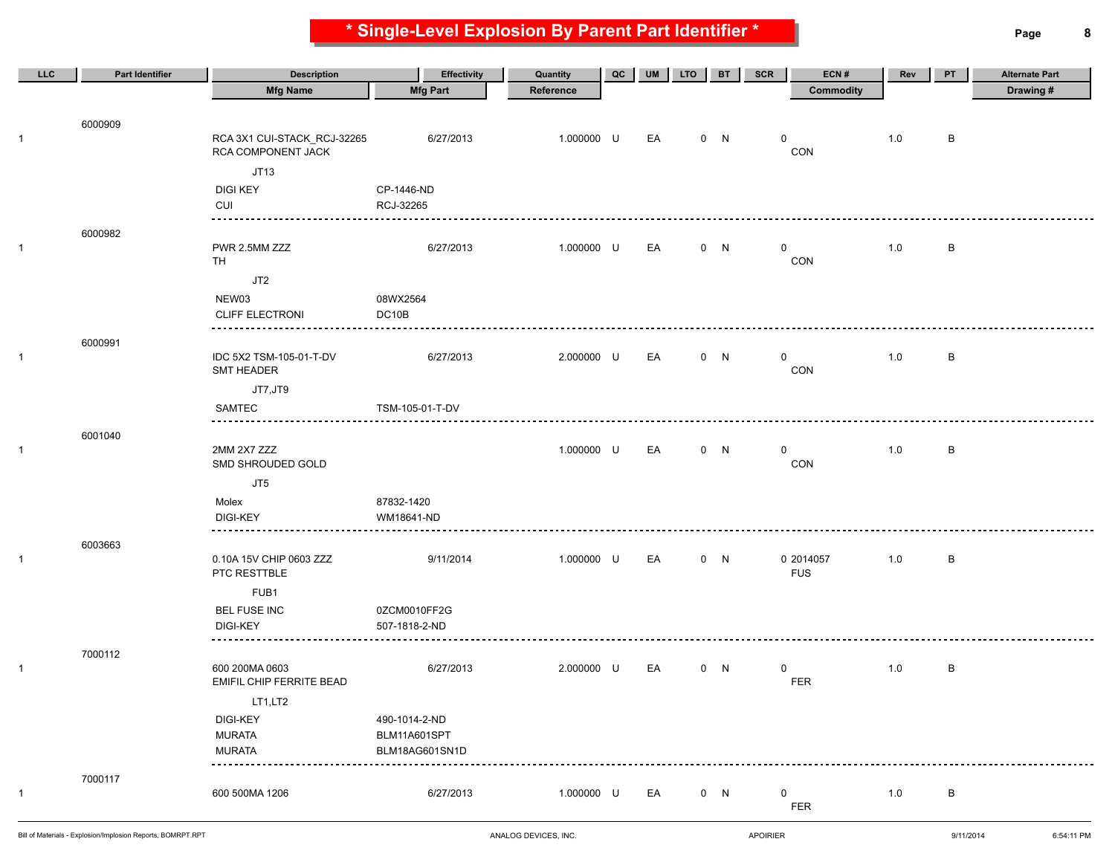**\* Single-Level Explosion By Parent Part Identifier \* Page 8**

| LLC          | <b>Part Identifier</b> | <b>Description</b>                                | <b>Effectivity</b> | Quantity   | QC | <b>UM</b> | <b>LTO</b> | <b>BT</b> | <b>SCR</b> | ECN#               | Rev | PT | <b>Alternate Part</b> |
|--------------|------------------------|---------------------------------------------------|--------------------|------------|----|-----------|------------|-----------|------------|--------------------|-----|----|-----------------------|
|              |                        | <b>Mfg Name</b>                                   | <b>Mfg Part</b>    | Reference  |    |           |            |           |            | <b>Commodity</b>   |     |    | Drawing#              |
|              |                        |                                                   |                    |            |    |           |            |           |            |                    |     |    |                       |
|              | 6000909                |                                                   |                    |            |    |           |            |           |            |                    |     |    |                       |
| $\mathbf{1}$ |                        | RCA 3X1 CUI-STACK_RCJ-32265<br>RCA COMPONENT JACK | 6/27/2013          | 1.000000 U |    | EA        |            | 0 N       | 0          | CON                | 1.0 | B  |                       |
|              |                        | JT13                                              |                    |            |    |           |            |           |            |                    |     |    |                       |
|              |                        | <b>DIGI KEY</b>                                   | CP-1446-ND         |            |    |           |            |           |            |                    |     |    |                       |
|              |                        | CUI                                               | RCJ-32265          |            |    |           |            |           |            |                    |     |    |                       |
|              | 6000982                | --------------                                    |                    |            |    |           |            |           |            |                    |     |    |                       |
| $\mathbf{1}$ |                        | PWR 2.5MM ZZZ<br>TH                               | 6/27/2013          | 1.000000 U |    | EA        |            | 0 N       |            | $\mathbf 0$<br>CON | 1.0 | B  |                       |
|              |                        | JT2                                               |                    |            |    |           |            |           |            |                    |     |    |                       |
|              |                        | NEW03                                             | 08WX2564           |            |    |           |            |           |            |                    |     |    |                       |
|              |                        | <b>CLIFF ELECTRONI</b>                            | DC10B              |            |    |           |            |           |            |                    |     |    |                       |
|              | 6000991                |                                                   |                    |            |    |           |            |           |            |                    |     |    |                       |
| 1            |                        | IDC 5X2 TSM-105-01-T-DV                           | 6/27/2013          | 2.000000 U |    | EA        |            | 0 N       |            | 0                  | 1.0 | B  |                       |
|              |                        | SMT HEADER                                        |                    |            |    |           |            |           |            | CON                |     |    |                       |
|              |                        | JT7,JT9                                           |                    |            |    |           |            |           |            |                    |     |    |                       |
|              |                        | SAMTEC                                            | TSM-105-01-T-DV    |            |    |           |            |           |            |                    |     |    |                       |
|              | 6001040                | -------------                                     |                    |            |    |           |            |           |            |                    |     |    |                       |
| $\mathbf{1}$ |                        | 2MM 2X7 ZZZ                                       |                    | 1.000000 U |    | EA        |            | 0 N       |            | $\mathbf 0$        | 1.0 | B  |                       |
|              |                        | SMD SHROUDED GOLD                                 |                    |            |    |           |            |           |            | CON                |     |    |                       |
|              |                        | JT5                                               |                    |            |    |           |            |           |            |                    |     |    |                       |
|              |                        | Molex                                             | 87832-1420         |            |    |           |            |           |            |                    |     |    |                       |
|              |                        | DIGI-KEY                                          | WM18641-ND         |            |    |           |            |           |            |                    |     |    |                       |
|              | 6003663                |                                                   |                    |            |    |           |            |           |            |                    |     |    |                       |
| 1            |                        | 0.10A 15V CHIP 0603 ZZZ                           | 9/11/2014          | 1.000000 U |    | EA        |            | 0 N       |            | 0 2014057          | 1.0 | B  |                       |
|              |                        | PTC RESTTBLE                                      |                    |            |    |           |            |           |            | <b>FUS</b>         |     |    |                       |
|              |                        | FUB1                                              |                    |            |    |           |            |           |            |                    |     |    |                       |
|              |                        | BEL FUSE INC                                      | 0ZCM0010FF2G       |            |    |           |            |           |            |                    |     |    |                       |
|              |                        | <b>DIGI-KEY</b>                                   | 507-1818-2-ND      |            |    |           |            |           |            |                    |     |    |                       |
|              | 7000112                |                                                   |                    |            |    |           |            |           |            |                    |     |    |                       |
| 1            |                        | 600 200MA 0603                                    | 6/27/2013          | 2.000000 U |    | EA        |            | 0 N       | 0          |                    | 1.0 | B  |                       |
|              |                        | EMIFIL CHIP FERRITE BEAD                          |                    |            |    |           |            |           |            | <b>FER</b>         |     |    |                       |
|              |                        | LT1,LT2                                           |                    |            |    |           |            |           |            |                    |     |    |                       |
|              |                        | <b>DIGI-KEY</b>                                   | 490-1014-2-ND      |            |    |           |            |           |            |                    |     |    |                       |
|              |                        | <b>MURATA</b>                                     | BLM11A601SPT       |            |    |           |            |           |            |                    |     |    |                       |
|              |                        | <b>MURATA</b>                                     | BLM18AG601SN1D     |            |    |           |            |           |            |                    |     |    |                       |
|              | 7000117                |                                                   |                    |            |    |           |            |           |            |                    |     |    |                       |
| $\mathbf{1}$ |                        | 600 500MA 1206                                    | 6/27/2013          | 1.000000 U |    | EA        |            | 0 N       | 0          |                    | 1.0 | B  |                       |
|              |                        |                                                   |                    |            |    |           |            |           |            | FER                |     |    |                       |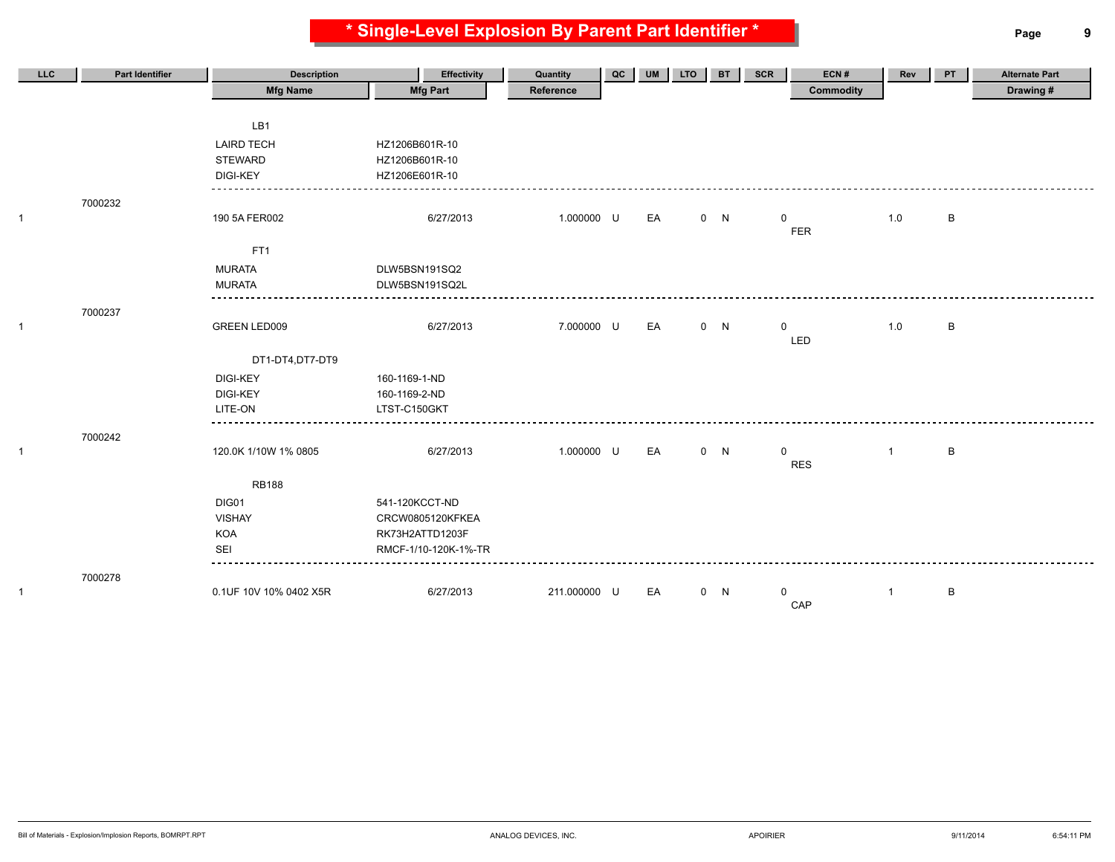**\* Single-Level Explosion By Parent Part Identifier \* Page 9**

| <b>LLC</b> | <b>Part Identifier</b> | <b>Description</b>     | Effectivity          | Quantity     | QC | UM | <b>LTO</b> | <b>BT</b> | <b>SCR</b>   | ECN#             | Rev          | PT | <b>Alternate Part</b> |
|------------|------------------------|------------------------|----------------------|--------------|----|----|------------|-----------|--------------|------------------|--------------|----|-----------------------|
|            |                        | <b>Mfg Name</b>        | <b>Mfg Part</b>      | Reference    |    |    |            |           |              | <b>Commodity</b> |              |    | Drawing#              |
|            |                        | LB1                    |                      |              |    |    |            |           |              |                  |              |    |                       |
|            |                        | <b>LAIRD TECH</b>      | HZ1206B601R-10       |              |    |    |            |           |              |                  |              |    |                       |
|            |                        | <b>STEWARD</b>         | HZ1206B601R-10       |              |    |    |            |           |              |                  |              |    |                       |
|            |                        | <b>DIGI-KEY</b>        | HZ1206E601R-10       |              |    |    |            |           |              |                  |              |    |                       |
|            | 7000232                |                        |                      |              |    |    |            |           |              |                  |              |    |                       |
|            |                        | 190 5A FER002          | 6/27/2013            | 1.000000 U   |    | EA |            | 0 N       | $\mathbf{0}$ |                  | 1.0          | В  |                       |
|            |                        |                        |                      |              |    |    |            |           |              | <b>FER</b>       |              |    |                       |
|            |                        | FT <sub>1</sub>        |                      |              |    |    |            |           |              |                  |              |    |                       |
|            |                        | <b>MURATA</b>          | DLW5BSN191SQ2        |              |    |    |            |           |              |                  |              |    |                       |
|            |                        | <b>MURATA</b>          | DLW5BSN191SQ2L       |              |    |    |            |           |              |                  |              |    |                       |
|            | 7000237                |                        |                      |              |    |    |            |           |              |                  |              |    |                       |
|            |                        | GREEN LED009           | 6/27/2013            | 7.000000 U   |    | EA |            | 0 N       | $\mathbf 0$  |                  | 1.0          | B  |                       |
|            |                        |                        |                      |              |    |    |            |           |              | LED              |              |    |                       |
|            |                        | DT1-DT4,DT7-DT9        |                      |              |    |    |            |           |              |                  |              |    |                       |
|            |                        | <b>DIGI-KEY</b>        | 160-1169-1-ND        |              |    |    |            |           |              |                  |              |    |                       |
|            |                        | <b>DIGI-KEY</b>        | 160-1169-2-ND        |              |    |    |            |           |              |                  |              |    |                       |
|            |                        | LITE-ON                | LTST-C150GKT         |              |    |    |            |           |              |                  |              |    |                       |
|            | 7000242                |                        |                      |              |    |    |            |           |              |                  |              |    |                       |
|            |                        | 120.0K 1/10W 1% 0805   | 6/27/2013            | 1.000000 U   |    | EA |            | 0 N       | $\mathbf 0$  | <b>RES</b>       | $\mathbf{1}$ | B  |                       |
|            |                        | <b>RB188</b>           |                      |              |    |    |            |           |              |                  |              |    |                       |
|            |                        | DIG01                  | 541-120KCCT-ND       |              |    |    |            |           |              |                  |              |    |                       |
|            |                        | <b>VISHAY</b>          | CRCW0805120KFKEA     |              |    |    |            |           |              |                  |              |    |                       |
|            |                        | KOA                    | RK73H2ATTD1203F      |              |    |    |            |           |              |                  |              |    |                       |
|            |                        | SEI                    | RMCF-1/10-120K-1%-TR |              |    |    |            |           |              |                  |              |    |                       |
|            |                        |                        |                      |              |    |    |            |           |              |                  |              |    |                       |
|            | 7000278                | 0.1UF 10V 10% 0402 X5R | 6/27/2013            | 211.000000 U |    | EA |            | 0 N       | $\mathbf{0}$ |                  | $\mathbf{1}$ | B  |                       |
|            |                        |                        |                      |              |    |    |            |           |              | CAP              |              |    |                       |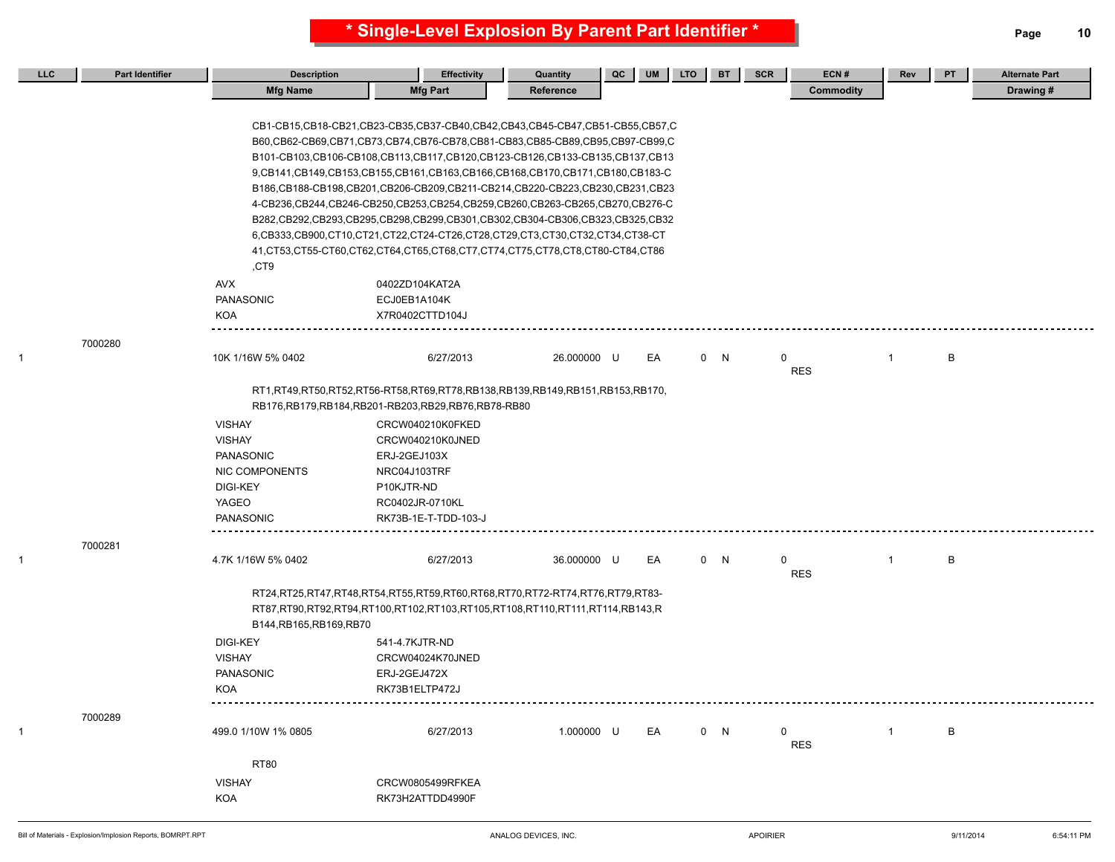| LLC | <b>Part Identifier</b> | <b>Description</b>       | <b>Effectivity</b>                                                                                                                                                                                                                                                                                                                                                                                                                                                                                                                                                                                                                                                                                                                                      | Quantity    | QC | UM | <b>LTO</b> | <b>BT</b> | ECN#<br><b>SCR</b> | Rev          | PT | <b>Alternate Part</b> |
|-----|------------------------|--------------------------|---------------------------------------------------------------------------------------------------------------------------------------------------------------------------------------------------------------------------------------------------------------------------------------------------------------------------------------------------------------------------------------------------------------------------------------------------------------------------------------------------------------------------------------------------------------------------------------------------------------------------------------------------------------------------------------------------------------------------------------------------------|-------------|----|----|------------|-----------|--------------------|--------------|----|-----------------------|
|     |                        | <b>Mfg Name</b>          | <b>Mfg Part</b>                                                                                                                                                                                                                                                                                                                                                                                                                                                                                                                                                                                                                                                                                                                                         | Reference   |    |    |            |           | Commodity          |              |    | Drawing #             |
|     |                        |                          | CB1-CB15,CB18-CB21,CB23-CB35,CB37-CB40,CB42,CB43,CB45-CB47,CB51-CB55,CB57,C<br>B60,CB62-CB69,CB71,CB73,CB74,CB76-CB78,CB81-CB83,CB85-CB89,CB95,CB97-CB99,C<br>B101-CB103,CB106-CB108,CB113,CB117,CB120,CB123-CB126,CB133-CB135,CB137,CB13<br>9, CB141, CB149, CB153, CB155, CB161, CB163, CB166, CB168, CB170, CB171, CB180, CB183-C<br>B186,CB188-CB198,CB201,CB206-CB209,CB211-CB214,CB220-CB223,CB230,CB231,CB23<br>4-CB236,CB244,CB246-CB250,CB253,CB254,CB259,CB260,CB263-CB265,CB270,CB276-C<br>B282,CB292,CB293,CB295,CB298,CB299,CB301,CB302,CB304-CB306,CB323,CB325,CB32<br>6.CB333.CB900.CT10.CT21.CT22.CT24-CT26.CT28.CT29.CT3.CT30.CT32.CT34.CT38-CT<br>41, CT53, CT55-CT60, CT62, CT64, CT65, CT68, CT7, CT74, CT75, CT78, CT80-CT84, CT86 |             |    |    |            |           |                    |              |    |                       |
|     |                        | ,CT9                     |                                                                                                                                                                                                                                                                                                                                                                                                                                                                                                                                                                                                                                                                                                                                                         |             |    |    |            |           |                    |              |    |                       |
|     |                        | AVX                      | 0402ZD104KAT2A                                                                                                                                                                                                                                                                                                                                                                                                                                                                                                                                                                                                                                                                                                                                          |             |    |    |            |           |                    |              |    |                       |
|     |                        | PANASONIC<br>KOA         | ECJ0EB1A104K<br>X7R0402CTTD104J                                                                                                                                                                                                                                                                                                                                                                                                                                                                                                                                                                                                                                                                                                                         |             |    |    |            |           |                    |              |    |                       |
|     |                        |                          |                                                                                                                                                                                                                                                                                                                                                                                                                                                                                                                                                                                                                                                                                                                                                         |             |    |    |            |           |                    |              |    |                       |
| -1  | 7000280                | 10K 1/16W 5% 0402        | 6/27/2013                                                                                                                                                                                                                                                                                                                                                                                                                                                                                                                                                                                                                                                                                                                                               | 26.000000 U |    | EA |            | 0 N       | 0<br><b>RES</b>    | $\mathbf{1}$ | В  |                       |
|     |                        |                          | RT1,RT49,RT50,RT52,RT56-RT58,RT69,RT78,RB138,RB139,RB149,RB151,RB153,RB170,<br>RB176, RB179, RB184, RB201-RB203, RB29, RB76, RB78-RB80                                                                                                                                                                                                                                                                                                                                                                                                                                                                                                                                                                                                                  |             |    |    |            |           |                    |              |    |                       |
|     |                        | <b>VISHAY</b>            | CRCW040210K0FKED                                                                                                                                                                                                                                                                                                                                                                                                                                                                                                                                                                                                                                                                                                                                        |             |    |    |            |           |                    |              |    |                       |
|     |                        | <b>VISHAY</b>            | CRCW040210K0JNED                                                                                                                                                                                                                                                                                                                                                                                                                                                                                                                                                                                                                                                                                                                                        |             |    |    |            |           |                    |              |    |                       |
|     |                        | PANASONIC                | ERJ-2GEJ103X                                                                                                                                                                                                                                                                                                                                                                                                                                                                                                                                                                                                                                                                                                                                            |             |    |    |            |           |                    |              |    |                       |
|     |                        | NIC COMPONENTS           | NRC04J103TRF                                                                                                                                                                                                                                                                                                                                                                                                                                                                                                                                                                                                                                                                                                                                            |             |    |    |            |           |                    |              |    |                       |
|     |                        | <b>DIGI-KEY</b>          | P10KJTR-ND                                                                                                                                                                                                                                                                                                                                                                                                                                                                                                                                                                                                                                                                                                                                              |             |    |    |            |           |                    |              |    |                       |
|     |                        | YAGEO                    | RC0402JR-0710KL                                                                                                                                                                                                                                                                                                                                                                                                                                                                                                                                                                                                                                                                                                                                         |             |    |    |            |           |                    |              |    |                       |
|     |                        | PANASONIC                | RK73B-1E-T-TDD-103-J                                                                                                                                                                                                                                                                                                                                                                                                                                                                                                                                                                                                                                                                                                                                    |             |    |    |            |           |                    |              |    |                       |
|     | 7000281                |                          |                                                                                                                                                                                                                                                                                                                                                                                                                                                                                                                                                                                                                                                                                                                                                         |             |    |    |            |           |                    |              |    |                       |
| 1   |                        | 4.7K 1/16W 5% 0402       | 6/27/2013                                                                                                                                                                                                                                                                                                                                                                                                                                                                                                                                                                                                                                                                                                                                               | 36.000000 U |    | EA |            | 0 N       | 0<br><b>RES</b>    | $\mathbf{1}$ | B  |                       |
|     |                        |                          | RT24,RT25,RT47,RT48,RT54,RT55,RT59,RT60,RT68,RT70,RT72-RT74,RT76,RT79,RT83-                                                                                                                                                                                                                                                                                                                                                                                                                                                                                                                                                                                                                                                                             |             |    |    |            |           |                    |              |    |                       |
|     |                        | B144, RB165, RB169, RB70 | RT87,RT90,RT92,RT94,RT100,RT102,RT103,RT105,RT108,RT110,RT111,RT114,RB143,R                                                                                                                                                                                                                                                                                                                                                                                                                                                                                                                                                                                                                                                                             |             |    |    |            |           |                    |              |    |                       |
|     |                        | <b>DIGI-KEY</b>          | 541-4.7KJTR-ND                                                                                                                                                                                                                                                                                                                                                                                                                                                                                                                                                                                                                                                                                                                                          |             |    |    |            |           |                    |              |    |                       |
|     |                        | <b>VISHAY</b>            | CRCW04024K70JNED                                                                                                                                                                                                                                                                                                                                                                                                                                                                                                                                                                                                                                                                                                                                        |             |    |    |            |           |                    |              |    |                       |
|     |                        | PANASONIC                | ERJ-2GEJ472X                                                                                                                                                                                                                                                                                                                                                                                                                                                                                                                                                                                                                                                                                                                                            |             |    |    |            |           |                    |              |    |                       |
|     |                        | <b>KOA</b>               | RK73B1ELTP472J                                                                                                                                                                                                                                                                                                                                                                                                                                                                                                                                                                                                                                                                                                                                          |             |    |    |            |           |                    |              |    |                       |
|     | 7000289                |                          |                                                                                                                                                                                                                                                                                                                                                                                                                                                                                                                                                                                                                                                                                                                                                         |             |    |    |            |           |                    |              |    |                       |
| 1   |                        | 499.0 1/10W 1% 0805      | 6/27/2013                                                                                                                                                                                                                                                                                                                                                                                                                                                                                                                                                                                                                                                                                                                                               | 1.000000 U  |    | EA |            | 0 N       | 0<br><b>RES</b>    | $\mathbf{1}$ | B  |                       |
|     |                        | <b>RT80</b>              |                                                                                                                                                                                                                                                                                                                                                                                                                                                                                                                                                                                                                                                                                                                                                         |             |    |    |            |           |                    |              |    |                       |
|     |                        | <b>VISHAY</b>            | CRCW0805499RFKEA                                                                                                                                                                                                                                                                                                                                                                                                                                                                                                                                                                                                                                                                                                                                        |             |    |    |            |           |                    |              |    |                       |
|     |                        | KOA                      | RK73H2ATTDD4990F                                                                                                                                                                                                                                                                                                                                                                                                                                                                                                                                                                                                                                                                                                                                        |             |    |    |            |           |                    |              |    |                       |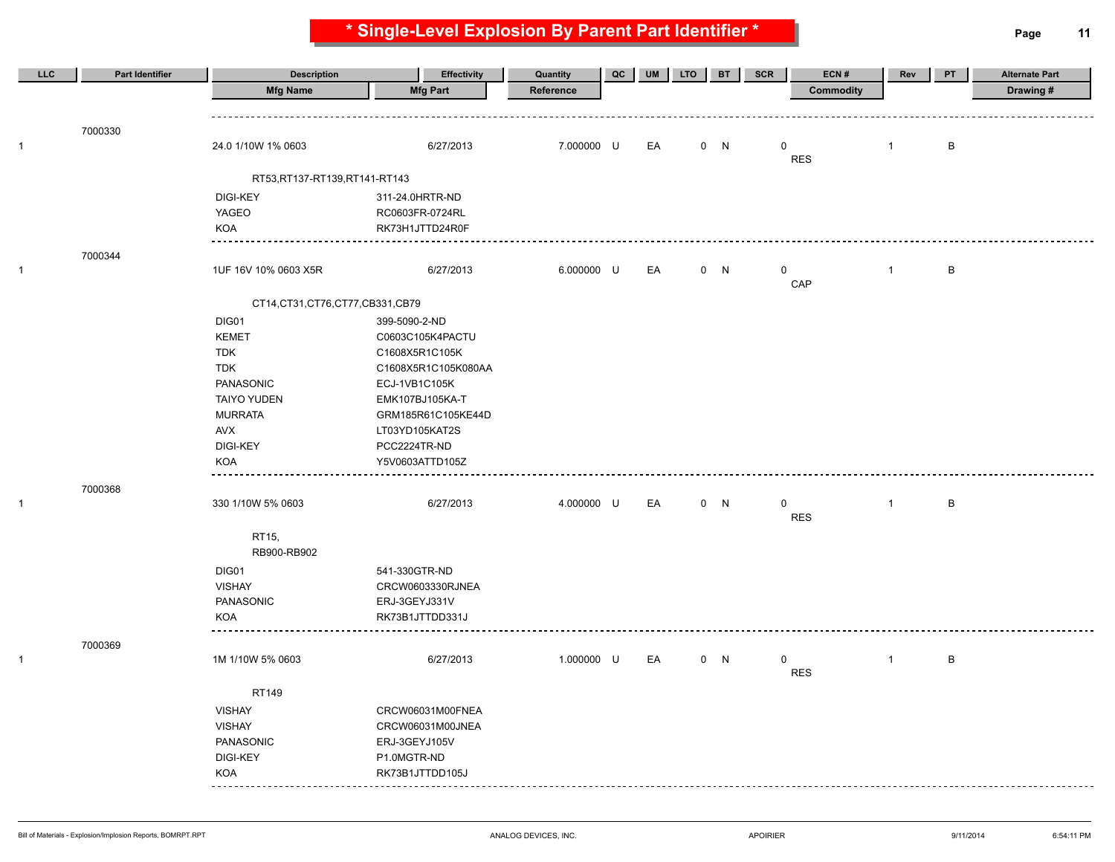**LLC Part Identifier Description Effectivity Quantity QC UM LTO BT SCR ECN # Rev PT Alternate Part Mfg Name Mfg Part Reference Commodity Drawing #** 7000330 1 24.0 1/10W 1% 0603 6/27/2013 7.000000 U EA 0 N 0 B RES RT53,RT137-RT139,RT141-RT143 DIGI-KEY 311-24.0HRTR-ND YAGEO RC0603FR-0724RL KOA RK73H1JTTD24R0F 7000344 1 1 1 1 1 1 1 16V 10% 0603 X5R 6/27/2013 6.000000 U EA 0 N 0 1 B CAP CT14,CT31,CT76,CT77,CB331,CB79 DIG01 399-5090-2-ND KEMET C0603C105K4PACTU TDK C1608X5R1C105K TDK C1608X5R1C105K080AA PANASONIC ECJ-1VB1C105K TAIYO YUDEN EMK107BJ105KA-T MURRATA GRM185R61C105KE44D AVX LT03YD105KAT2S DIGI-KEY PCC2224TR-ND KOA Y5V0603ATTD105Z ---------------7000368 1 330 1/10W 5% 0603 6/27/2013 4.000000 U EA 0 N 0 B RES RT15, RB900-RB902 DIG01 541-330GTR-ND VISHAY CRCW0603330RJNEA PANASONIC ERJ-3GEYJ331V KOA RK73B1JTTDD331J ---------7000369 1 1M 1/10W 5% 0603 6/27/2013 1.000000 U EA 0 N 0 1 B RES RT149 VISHAY CRCW06031M00FNEA VISHAY CRCW06031M00JNEA PANASONIC ERJ-3GEYJ105V DIGI-KEY P1.0MGTR-ND KOA RK73B1JTTDD105J <u>. . . . . . . .</u>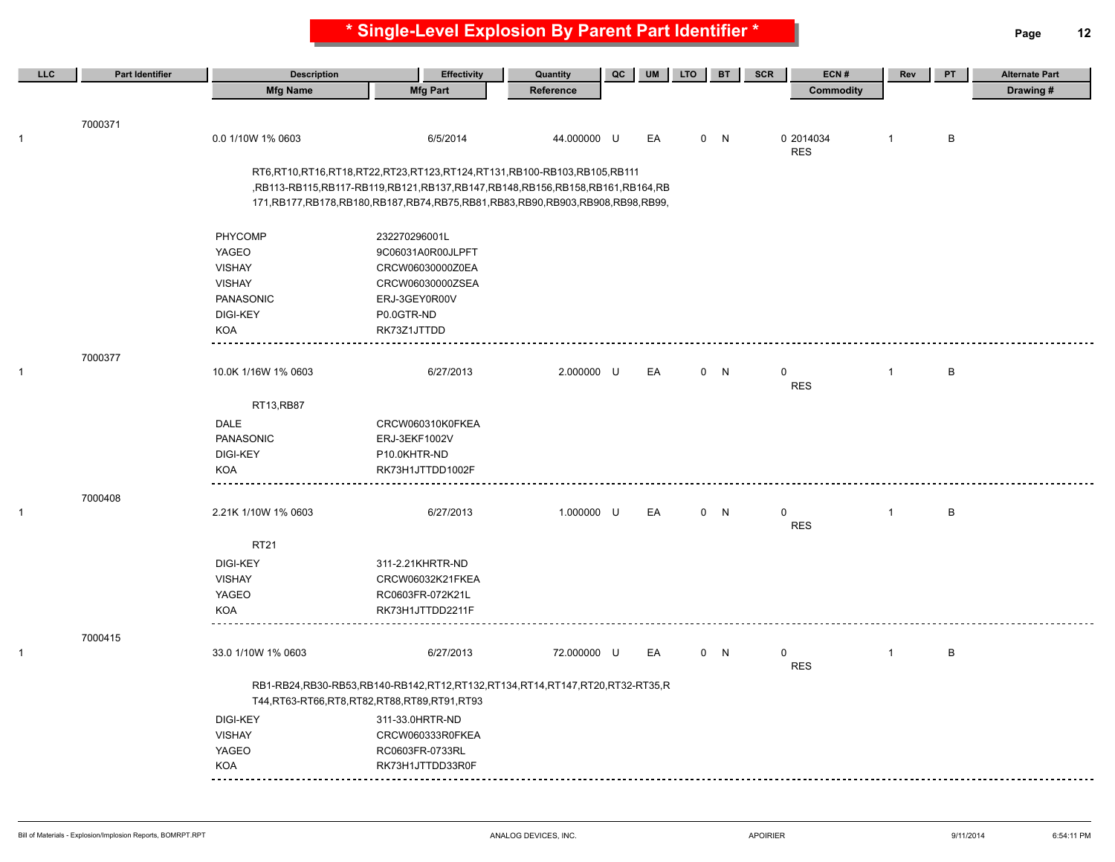| LLC          | <b>Part Identifier</b> | <b>Description</b>                                | <b>Effectivity</b>                                                                       | Quantity    | QC | <b>UM</b> | <b>LTO</b> | <b>BT</b> | <b>SCR</b>  | ECN#             | Rev            | PT           | <b>Alternate Part</b> |
|--------------|------------------------|---------------------------------------------------|------------------------------------------------------------------------------------------|-------------|----|-----------|------------|-----------|-------------|------------------|----------------|--------------|-----------------------|
|              |                        | <b>Mfg Name</b>                                   | <b>Mfg Part</b>                                                                          | Reference   |    |           |            |           |             | <b>Commodity</b> |                |              | Drawing #             |
|              |                        |                                                   |                                                                                          |             |    |           |            |           |             |                  |                |              |                       |
|              | 7000371                |                                                   |                                                                                          |             |    |           |            |           |             |                  |                |              |                       |
| -1           |                        | 0.0 1/10W 1% 0603                                 | 6/5/2014                                                                                 | 44.000000 U |    | EA        |            | 0 N       |             | 0 2014034        | $\overline{1}$ | $\, {\bf B}$ |                       |
|              |                        |                                                   |                                                                                          |             |    |           |            |           |             | <b>RES</b>       |                |              |                       |
|              |                        |                                                   | RT6,RT10,RT16,RT18,RT22,RT23,RT123,RT124,RT131,RB100-RB103,RB105,RB111                   |             |    |           |            |           |             |                  |                |              |                       |
|              |                        |                                                   | ,RB113-RB115,RB117-RB119,RB121,RB137,RB147,RB148,RB156,RB158,RB161,RB164,RB              |             |    |           |            |           |             |                  |                |              |                       |
|              |                        |                                                   | 171, RB177, RB178, RB180, RB187, RB74, RB75, RB81, RB83, RB90, RB903, RB908, RB99, RB99, |             |    |           |            |           |             |                  |                |              |                       |
|              |                        |                                                   |                                                                                          |             |    |           |            |           |             |                  |                |              |                       |
|              |                        | PHYCOMP                                           | 232270296001L                                                                            |             |    |           |            |           |             |                  |                |              |                       |
|              |                        | YAGEO                                             | 9C06031A0R00JLPFT                                                                        |             |    |           |            |           |             |                  |                |              |                       |
|              |                        | <b>VISHAY</b>                                     | CRCW06030000Z0EA                                                                         |             |    |           |            |           |             |                  |                |              |                       |
|              |                        | <b>VISHAY</b>                                     | CRCW06030000ZSEA                                                                         |             |    |           |            |           |             |                  |                |              |                       |
|              |                        | PANASONIC                                         | ERJ-3GEY0R00V                                                                            |             |    |           |            |           |             |                  |                |              |                       |
|              |                        | <b>DIGI-KEY</b>                                   | P0.0GTR-ND                                                                               |             |    |           |            |           |             |                  |                |              |                       |
|              |                        | KOA                                               | RK73Z1JTTDD                                                                              |             |    |           |            |           |             |                  |                |              |                       |
|              | 7000377                |                                                   |                                                                                          |             |    |           |            |           |             |                  |                |              |                       |
| $\mathbf{1}$ |                        | 10.0K 1/16W 1% 0603                               | 6/27/2013                                                                                | 2.000000 U  |    | EA        |            | 0 N       | 0           |                  | $\overline{1}$ | B            |                       |
|              |                        |                                                   |                                                                                          |             |    |           |            |           |             | <b>RES</b>       |                |              |                       |
|              |                        | RT13,RB87                                         |                                                                                          |             |    |           |            |           |             |                  |                |              |                       |
|              |                        | <b>DALE</b>                                       | CRCW060310K0FKEA                                                                         |             |    |           |            |           |             |                  |                |              |                       |
|              |                        | <b>PANASONIC</b>                                  | ERJ-3EKF1002V                                                                            |             |    |           |            |           |             |                  |                |              |                       |
|              |                        | <b>DIGI-KEY</b>                                   | P10.0KHTR-ND                                                                             |             |    |           |            |           |             |                  |                |              |                       |
|              |                        | <b>KOA</b>                                        | RK73H1JTTDD1002F                                                                         |             |    |           |            |           |             |                  |                |              |                       |
|              | 7000408                |                                                   |                                                                                          |             |    |           |            |           |             |                  |                |              |                       |
| $\mathbf{1}$ |                        | 2.21K 1/10W 1% 0603                               | 6/27/2013                                                                                | 1.000000 U  |    | EA        |            | 0 N       | $\mathbf 0$ |                  | $\mathbf{1}$   | $\,$ B       |                       |
|              |                        |                                                   |                                                                                          |             |    |           |            |           |             | <b>RES</b>       |                |              |                       |
|              |                        | <b>RT21</b>                                       |                                                                                          |             |    |           |            |           |             |                  |                |              |                       |
|              |                        | <b>DIGI-KEY</b>                                   | 311-2.21KHRTR-ND                                                                         |             |    |           |            |           |             |                  |                |              |                       |
|              |                        | <b>VISHAY</b>                                     | CRCW06032K21FKEA                                                                         |             |    |           |            |           |             |                  |                |              |                       |
|              |                        | YAGEO                                             | RC0603FR-072K21L                                                                         |             |    |           |            |           |             |                  |                |              |                       |
|              |                        | <b>KOA</b>                                        | RK73H1JTTDD2211F                                                                         |             |    |           |            |           |             |                  |                |              |                       |
|              |                        |                                                   |                                                                                          |             |    |           |            |           |             |                  |                |              |                       |
|              | 7000415                |                                                   |                                                                                          |             |    |           |            |           |             |                  |                |              |                       |
| $\mathbf{1}$ |                        | 33.0 1/10W 1% 0603                                | 6/27/2013                                                                                | 72.000000 U |    | EA        |            | 0 N       | 0           | <b>RES</b>       | $\mathbf{1}$   | B            |                       |
|              |                        |                                                   |                                                                                          |             |    |           |            |           |             |                  |                |              |                       |
|              |                        | T44, RT63-RT66, RT8, RT82, RT88, RT89, RT91, RT93 | RB1-RB24,RB30-RB53,RB140-RB142,RT12,RT132,RT134,RT14,RT147,RT20,RT32-RT35,R              |             |    |           |            |           |             |                  |                |              |                       |
|              |                        | <b>DIGI-KEY</b>                                   | 311-33.0HRTR-ND                                                                          |             |    |           |            |           |             |                  |                |              |                       |
|              |                        | <b>VISHAY</b>                                     | CRCW060333R0FKEA                                                                         |             |    |           |            |           |             |                  |                |              |                       |
|              |                        | YAGEO                                             | RC0603FR-0733RL                                                                          |             |    |           |            |           |             |                  |                |              |                       |
|              |                        | KOA                                               | RK73H1JTTDD33R0F                                                                         |             |    |           |            |           |             |                  |                |              |                       |
|              |                        |                                                   |                                                                                          |             |    |           |            |           |             |                  |                |              |                       |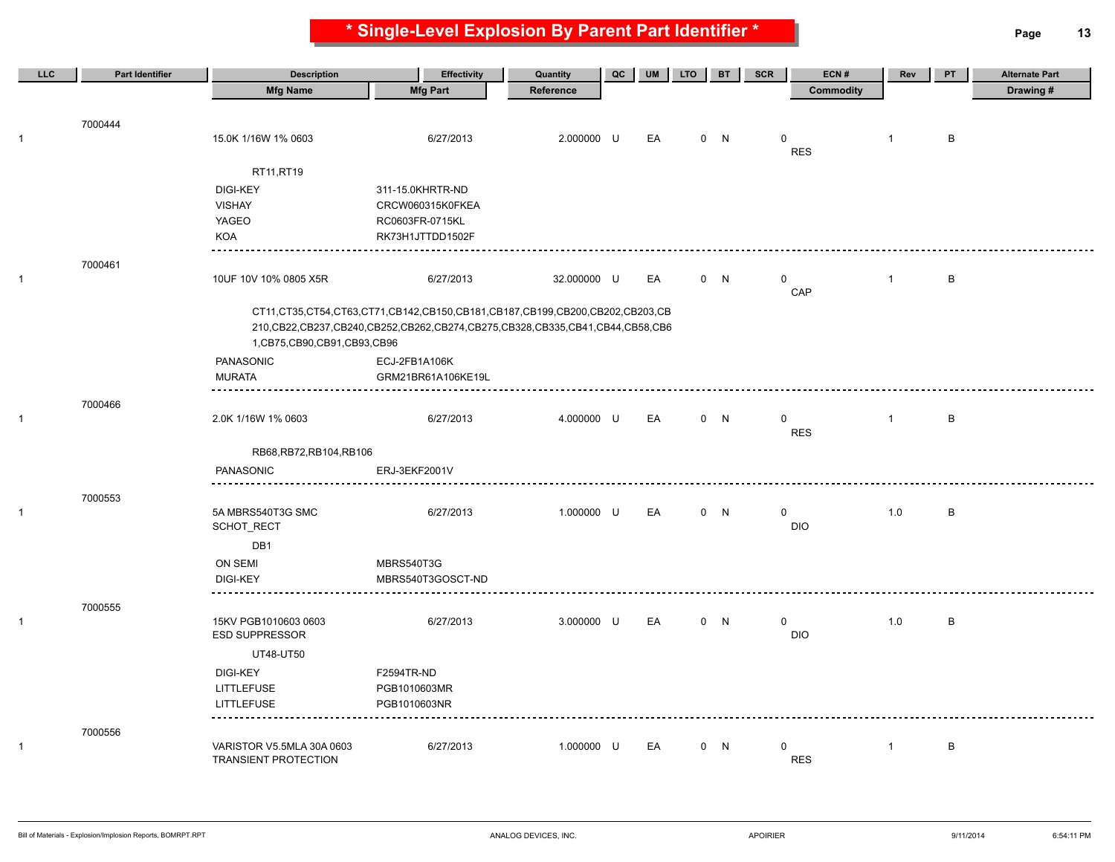**\* Single-Level Explosion By Parent Part Identifier \* Page 13**

| LLC          | <b>Part Identifier</b> | <b>Description</b>              | <b>Effectivity</b>                                                                       | Quantity    | QC | <b>UM</b> | <b>LTO</b> | <b>BT</b> | <b>SCR</b><br>ECN# | Rev            | <b>PT</b>    | <b>Alternate Part</b> |
|--------------|------------------------|---------------------------------|------------------------------------------------------------------------------------------|-------------|----|-----------|------------|-----------|--------------------|----------------|--------------|-----------------------|
|              |                        | <b>Mfg Name</b>                 | <b>Mfg Part</b>                                                                          | Reference   |    |           |            |           | Commodity          |                |              | Drawing#              |
|              |                        |                                 |                                                                                          |             |    |           |            |           |                    |                |              |                       |
|              | 7000444                |                                 |                                                                                          |             |    |           |            |           |                    |                |              |                       |
| 1            |                        | 15.0K 1/16W 1% 0603             | 6/27/2013                                                                                | 2.000000 U  |    | EA        |            | 0 N       | 0<br><b>RES</b>    | $\mathbf{1}$   | B            |                       |
|              |                        | RT11, RT19                      |                                                                                          |             |    |           |            |           |                    |                |              |                       |
|              |                        | <b>DIGI-KEY</b>                 | 311-15.0KHRTR-ND                                                                         |             |    |           |            |           |                    |                |              |                       |
|              |                        | <b>VISHAY</b>                   | CRCW060315K0FKEA                                                                         |             |    |           |            |           |                    |                |              |                       |
|              |                        | YAGEO                           | RC0603FR-0715KL                                                                          |             |    |           |            |           |                    |                |              |                       |
|              |                        | <b>KOA</b>                      | RK73H1JTTDD1502F                                                                         |             |    |           |            |           |                    |                |              |                       |
|              |                        |                                 |                                                                                          |             |    |           |            |           |                    |                |              |                       |
| 1            | 7000461                | 10UF 10V 10% 0805 X5R           | 6/27/2013                                                                                | 32.000000 U |    | EA        |            | 0 N       | $\mathbf 0$        | $\overline{1}$ | B            |                       |
|              |                        |                                 |                                                                                          |             |    |           |            |           | CAP                |                |              |                       |
|              |                        |                                 | CT11, CT35, CT54, CT63, CT71, CB142, CB150, CB181, CB187, CB199, CB200, CB202, CB203, CB |             |    |           |            |           |                    |                |              |                       |
|              |                        |                                 | 210, CB22, CB237, CB240, CB252, CB262, CB274, CB275, CB328, CB335, CB41, CB44, CB58, CB6 |             |    |           |            |           |                    |                |              |                       |
|              |                        | 1, CB75, CB90, CB91, CB93, CB96 |                                                                                          |             |    |           |            |           |                    |                |              |                       |
|              |                        | PANASONIC                       | ECJ-2FB1A106K                                                                            |             |    |           |            |           |                    |                |              |                       |
|              |                        | <b>MURATA</b>                   | GRM21BR61A106KE19L                                                                       |             |    |           |            |           |                    |                |              |                       |
|              | 7000466                |                                 |                                                                                          |             |    |           |            |           |                    |                |              |                       |
| $\mathbf{1}$ |                        | 2.0K 1/16W 1% 0603              | 6/27/2013                                                                                | 4.000000 U  |    | EA        |            | 0 N       | 0                  | $\overline{1}$ | B            |                       |
|              |                        |                                 |                                                                                          |             |    |           |            |           | <b>RES</b>         |                |              |                       |
|              |                        | RB68, RB72, RB104, RB106        |                                                                                          |             |    |           |            |           |                    |                |              |                       |
|              |                        | PANASONIC                       | ERJ-3EKF2001V                                                                            |             |    |           |            |           |                    |                |              |                       |
|              | 7000553                | <u>.</u>                        |                                                                                          |             |    |           |            |           |                    |                |              |                       |
| $\mathbf{1}$ |                        | 5A MBRS540T3G SMC               | 6/27/2013                                                                                | 1.000000 U  |    | EA        |            | 0 N       | $\mathbf 0$        | 1.0            | B            |                       |
|              |                        | SCHOT_RECT                      |                                                                                          |             |    |           |            |           | <b>DIO</b>         |                |              |                       |
|              |                        | DB1                             |                                                                                          |             |    |           |            |           |                    |                |              |                       |
|              |                        | ON SEMI                         | MBRS540T3G                                                                               |             |    |           |            |           |                    |                |              |                       |
|              |                        | <b>DIGI-KEY</b>                 | MBRS540T3GOSCT-ND                                                                        |             |    |           |            |           |                    |                |              |                       |
|              | 7000555                |                                 |                                                                                          |             |    |           |            |           |                    |                |              |                       |
| 1            |                        | 15KV PGB1010603 0603            | 6/27/2013                                                                                | 3.000000 U  |    | EA        |            | 0 N       | $\mathbf 0$        | 1.0            | B            |                       |
|              |                        | <b>ESD SUPPRESSOR</b>           |                                                                                          |             |    |           |            |           | <b>DIO</b>         |                |              |                       |
|              |                        | UT48-UT50                       |                                                                                          |             |    |           |            |           |                    |                |              |                       |
|              |                        | <b>DIGI-KEY</b>                 | F2594TR-ND                                                                               |             |    |           |            |           |                    |                |              |                       |
|              |                        | <b>LITTLEFUSE</b>               | PGB1010603MR                                                                             |             |    |           |            |           |                    |                |              |                       |
|              |                        | LITTLEFUSE                      | PGB1010603NR                                                                             |             |    |           |            |           |                    |                |              |                       |
|              | 7000556                |                                 |                                                                                          |             |    |           |            |           |                    |                |              |                       |
| 1            |                        | VARISTOR V5.5MLA 30A 0603       | 6/27/2013                                                                                | 1.000000 U  |    | EA        |            | 0 N       | $\mathbf 0$        | $\overline{1}$ | $\, {\sf B}$ |                       |
|              |                        | <b>TRANSIENT PROTECTION</b>     |                                                                                          |             |    |           |            |           | <b>RES</b>         |                |              |                       |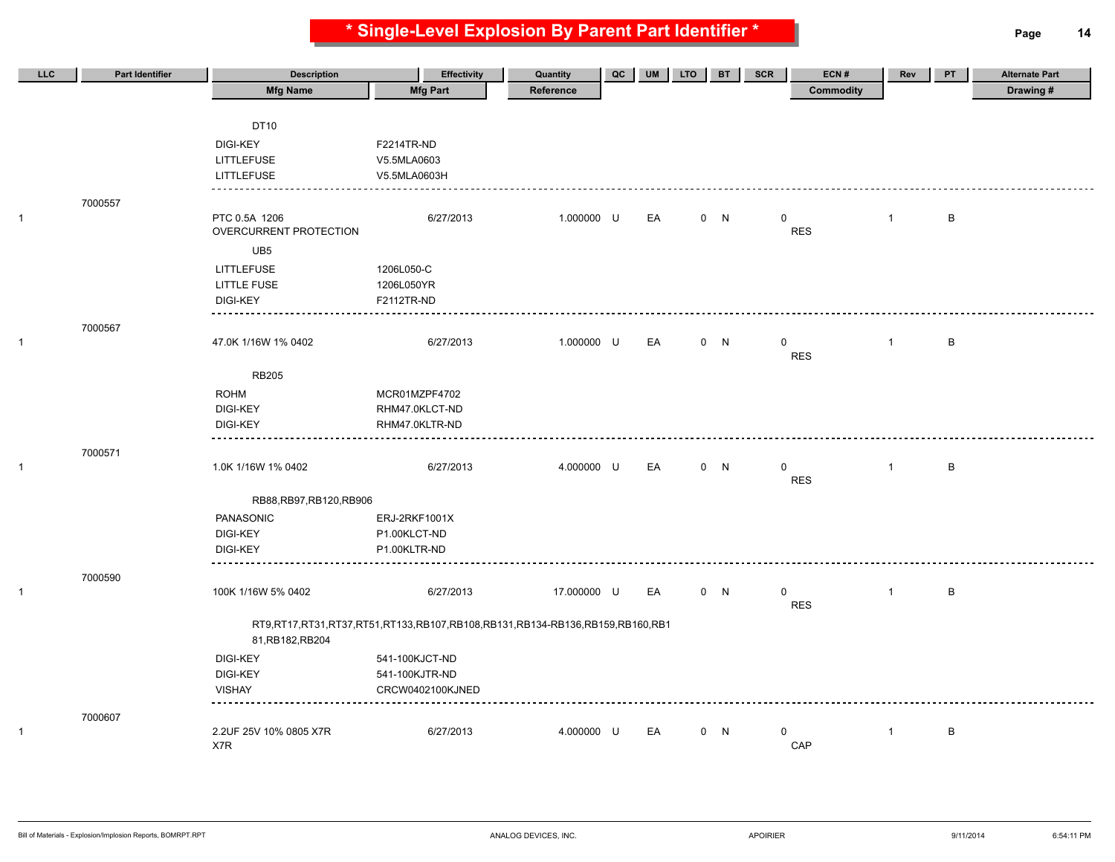**\* Single-Level Explosion By Parent Part Identifier \* Page 14**

| LLC | <b>Part Identifier</b> | <b>Description</b>          | <b>Effectivity</b>                                                          | Quantity    | QC | <b>UM</b> | <b>LTO</b> | <b>BT</b> | ECN#<br><b>SCR</b> | Rev            | PT | <b>Alternate Part</b> |
|-----|------------------------|-----------------------------|-----------------------------------------------------------------------------|-------------|----|-----------|------------|-----------|--------------------|----------------|----|-----------------------|
|     |                        | <b>Mfg Name</b>             | <b>Mfg Part</b>                                                             | Reference   |    |           |            |           | <b>Commodity</b>   |                |    | Drawing#              |
|     |                        |                             |                                                                             |             |    |           |            |           |                    |                |    |                       |
|     |                        | DT10                        |                                                                             |             |    |           |            |           |                    |                |    |                       |
|     |                        | <b>DIGI-KEY</b>             | F2214TR-ND                                                                  |             |    |           |            |           |                    |                |    |                       |
|     |                        | <b>LITTLEFUSE</b>           | V5.5MLA0603                                                                 |             |    |           |            |           |                    |                |    |                       |
|     |                        | <b>LITTLEFUSE</b>           | V5.5MLA0603H                                                                |             |    |           |            |           |                    |                |    |                       |
|     |                        |                             |                                                                             |             |    |           |            |           |                    |                |    |                       |
|     | 7000557                | PTC 0.5A 1206               | 6/27/2013                                                                   | 1.000000 U  |    | EA        |            | 0 N       | 0                  | $\mathbf{1}$   | B  |                       |
|     |                        | OVERCURRENT PROTECTION      |                                                                             |             |    |           |            |           | <b>RES</b>         |                |    |                       |
|     |                        | UB5                         |                                                                             |             |    |           |            |           |                    |                |    |                       |
|     |                        | <b>LITTLEFUSE</b>           | 1206L050-C                                                                  |             |    |           |            |           |                    |                |    |                       |
|     |                        | <b>LITTLE FUSE</b>          | 1206L050YR                                                                  |             |    |           |            |           |                    |                |    |                       |
|     |                        | <b>DIGI-KEY</b>             | F2112TR-ND                                                                  |             |    |           |            |           |                    |                |    |                       |
|     |                        |                             |                                                                             |             |    |           |            |           |                    |                |    |                       |
|     | 7000567                |                             |                                                                             |             |    |           |            |           |                    |                |    |                       |
|     |                        | 47.0K 1/16W 1% 0402         | 6/27/2013                                                                   | 1.000000 U  |    | EA        |            | 0 N       | $\mathbf 0$        | $\overline{1}$ | B  |                       |
|     |                        |                             |                                                                             |             |    |           |            |           | <b>RES</b>         |                |    |                       |
|     |                        | <b>RB205</b>                |                                                                             |             |    |           |            |           |                    |                |    |                       |
|     |                        | <b>ROHM</b>                 | MCR01MZPF4702                                                               |             |    |           |            |           |                    |                |    |                       |
|     |                        | <b>DIGI-KEY</b>             | RHM47.0KLCT-ND                                                              |             |    |           |            |           |                    |                |    |                       |
|     |                        | <b>DIGI-KEY</b><br>-------- | RHM47.0KLTR-ND                                                              |             |    |           |            |           |                    |                |    |                       |
|     | 7000571                |                             |                                                                             |             |    |           |            |           |                    |                |    |                       |
|     |                        | 1.0K 1/16W 1% 0402          | 6/27/2013                                                                   | 4.000000 U  |    | EA        |            | 0 N       | $\mathbf 0$        | $\mathbf{1}$   | B  |                       |
|     |                        |                             |                                                                             |             |    |           |            |           | <b>RES</b>         |                |    |                       |
|     |                        | RB88, RB97, RB120, RB906    |                                                                             |             |    |           |            |           |                    |                |    |                       |
|     |                        | PANASONIC                   | ERJ-2RKF1001X                                                               |             |    |           |            |           |                    |                |    |                       |
|     |                        | <b>DIGI-KEY</b>             | P1.00KLCT-ND                                                                |             |    |           |            |           |                    |                |    |                       |
|     |                        | <b>DIGI-KEY</b>             | P1.00KLTR-ND                                                                |             |    |           |            |           |                    |                |    |                       |
|     |                        |                             |                                                                             |             |    |           |            |           |                    |                |    |                       |
|     | 7000590                |                             |                                                                             |             |    |           |            |           |                    |                |    |                       |
|     |                        | 100K 1/16W 5% 0402          | 6/27/2013                                                                   | 17.000000 U |    | EA        |            | 0 N       | 0                  | $\mathbf{1}$   | B  |                       |
|     |                        |                             |                                                                             |             |    |           |            |           | <b>RES</b>         |                |    |                       |
|     |                        |                             | RT9,RT17,RT31,RT37,RT51,RT133,RB107,RB108,RB131,RB134-RB136,RB159,RB160,RB1 |             |    |           |            |           |                    |                |    |                       |
|     |                        | 81, RB182, RB204            |                                                                             |             |    |           |            |           |                    |                |    |                       |
|     |                        | <b>DIGI-KEY</b>             | 541-100KJCT-ND                                                              |             |    |           |            |           |                    |                |    |                       |
|     |                        | <b>DIGI-KEY</b>             | 541-100KJTR-ND                                                              |             |    |           |            |           |                    |                |    |                       |
|     |                        | <b>VISHAY</b>               | CRCW0402100KJNED                                                            |             |    |           |            |           |                    |                |    |                       |
|     | 7000607                |                             |                                                                             |             |    |           |            |           |                    |                |    |                       |
|     |                        | 2.2UF 25V 10% 0805 X7R      | 6/27/2013                                                                   | 4.000000 U  |    | EA        |            | 0 N       | $\mathbf 0$        | $\mathbf{1}$   | B  |                       |
|     |                        | X7R                         |                                                                             |             |    |           |            |           | CAP                |                |    |                       |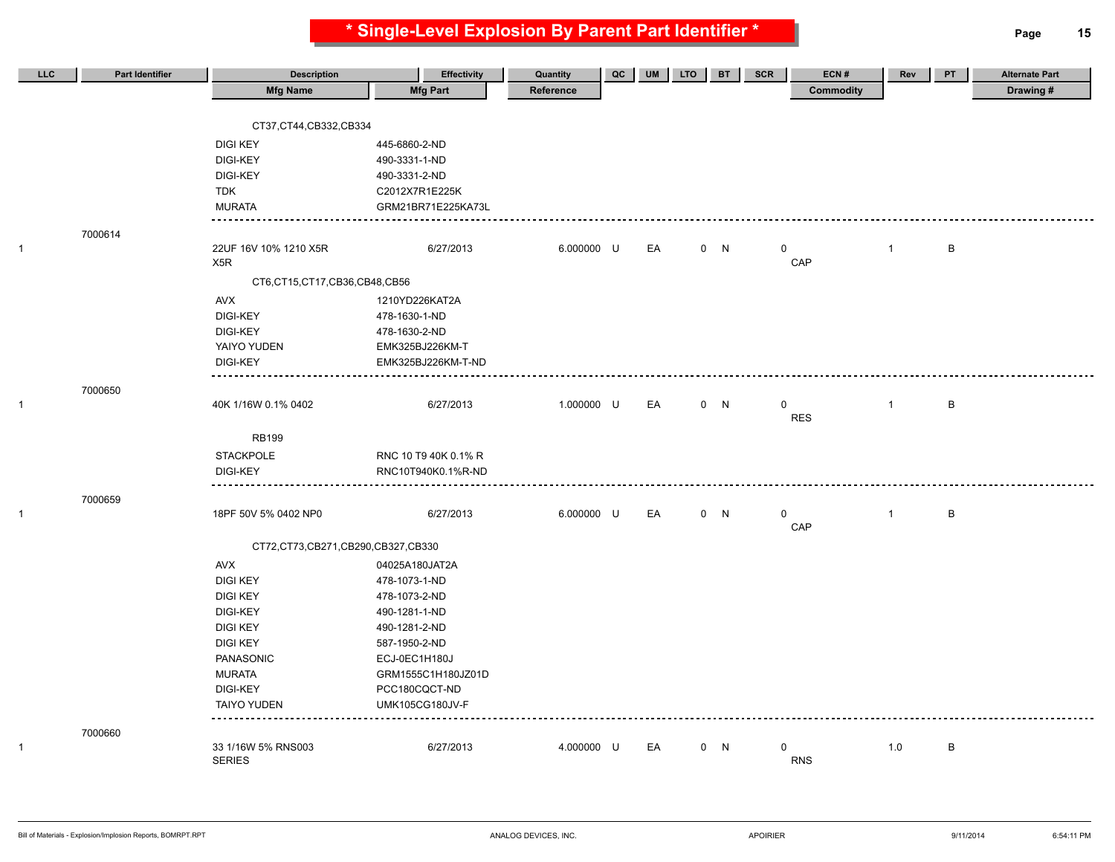**\* Single-Level Explosion By Parent Part Identifier \* Page 15**

| LLC          | Part Identifier | <b>Description</b>                | <b>Effectivity</b>     | Quantity   | QC | <b>UM</b> | <b>LTO</b> | <b>BT</b> | ECN#<br>SCR      | Rev          | <b>PT</b> | <b>Alternate Part</b> |
|--------------|-----------------|-----------------------------------|------------------------|------------|----|-----------|------------|-----------|------------------|--------------|-----------|-----------------------|
|              |                 | <b>Mfg Name</b>                   | <b>Mfg Part</b>        | Reference  |    |           |            |           | <b>Commodity</b> |              |           | Drawing#              |
|              |                 |                                   |                        |            |    |           |            |           |                  |              |           |                       |
|              |                 | CT37,CT44,CB332,CB334             |                        |            |    |           |            |           |                  |              |           |                       |
|              |                 | <b>DIGI KEY</b>                   | 445-6860-2-ND          |            |    |           |            |           |                  |              |           |                       |
|              |                 | <b>DIGI-KEY</b>                   | 490-3331-1-ND          |            |    |           |            |           |                  |              |           |                       |
|              |                 | <b>DIGI-KEY</b>                   | 490-3331-2-ND          |            |    |           |            |           |                  |              |           |                       |
|              |                 | <b>TDK</b>                        | C2012X7R1E225K         |            |    |           |            |           |                  |              |           |                       |
|              |                 | <b>MURATA</b>                     | GRM21BR71E225KA73L     |            |    |           |            |           |                  |              |           |                       |
|              | 7000614         |                                   |                        |            |    |           |            |           |                  |              |           |                       |
| $\mathbf{1}$ |                 | 22UF 16V 10% 1210 X5R             | 6/27/2013              | 6.000000 U |    | EA        |            | 0 N       | 0                | $\mathbf{1}$ | B         |                       |
|              |                 | X5R                               |                        |            |    |           |            |           | CAP              |              |           |                       |
|              |                 | CT6,CT15,CT17,CB36,CB48,CB56      |                        |            |    |           |            |           |                  |              |           |                       |
|              |                 | AVX                               | 1210YD226KAT2A         |            |    |           |            |           |                  |              |           |                       |
|              |                 | DIGI-KEY                          | 478-1630-1-ND          |            |    |           |            |           |                  |              |           |                       |
|              |                 | <b>DIGI-KEY</b>                   | 478-1630-2-ND          |            |    |           |            |           |                  |              |           |                       |
|              |                 | YAIYO YUDEN                       | EMK325BJ226KM-T        |            |    |           |            |           |                  |              |           |                       |
|              |                 | <b>DIGI-KEY</b><br><u>.</u>       | EMK325BJ226KM-T-ND     |            |    |           |            |           |                  |              |           |                       |
|              | 7000650         |                                   |                        |            |    |           |            |           |                  |              |           |                       |
| $\mathbf{1}$ |                 | 40K 1/16W 0.1% 0402               | 6/27/2013              | 1.000000 U |    | EA        |            | 0 N       | $\mathbf 0$      | $\mathbf{1}$ | B         |                       |
|              |                 |                                   |                        |            |    |           |            |           | <b>RES</b>       |              |           |                       |
|              |                 | <b>RB199</b>                      |                        |            |    |           |            |           |                  |              |           |                       |
|              |                 | STACKPOLE                         | RNC 10 T9 40K 0.1% R   |            |    |           |            |           |                  |              |           |                       |
|              |                 | <b>DIGI-KEY</b>                   | RNC10T940K0.1%R-ND     |            |    |           |            |           |                  |              |           |                       |
|              | 7000659         |                                   |                        |            |    |           |            |           |                  |              |           |                       |
| $\mathbf{1}$ |                 | 18PF 50V 5% 0402 NP0              | 6/27/2013              | 6.000000 U |    | EA        |            | 0 N       | $\mathbf 0$      | $\mathbf{1}$ | B         |                       |
|              |                 |                                   |                        |            |    |           |            |           | CAP              |              |           |                       |
|              |                 | CT72,CT73,CB271,CB290,CB327,CB330 |                        |            |    |           |            |           |                  |              |           |                       |
|              |                 | AVX                               | 04025A180JAT2A         |            |    |           |            |           |                  |              |           |                       |
|              |                 | <b>DIGI KEY</b>                   | 478-1073-1-ND          |            |    |           |            |           |                  |              |           |                       |
|              |                 | <b>DIGI KEY</b>                   | 478-1073-2-ND          |            |    |           |            |           |                  |              |           |                       |
|              |                 | <b>DIGI-KEY</b>                   | 490-1281-1-ND          |            |    |           |            |           |                  |              |           |                       |
|              |                 | <b>DIGI KEY</b>                   | 490-1281-2-ND          |            |    |           |            |           |                  |              |           |                       |
|              |                 | <b>DIGI KEY</b>                   | 587-1950-2-ND          |            |    |           |            |           |                  |              |           |                       |
|              |                 | PANASONIC                         | ECJ-0EC1H180J          |            |    |           |            |           |                  |              |           |                       |
|              |                 | <b>MURATA</b>                     | GRM1555C1H180JZ01D     |            |    |           |            |           |                  |              |           |                       |
|              |                 | <b>DIGI-KEY</b>                   | PCC180CQCT-ND          |            |    |           |            |           |                  |              |           |                       |
|              |                 | <b>TAIYO YUDEN</b>                | <b>UMK105CG180JV-F</b> |            |    |           |            |           |                  |              |           |                       |
|              | 7000660         |                                   |                        |            |    |           |            |           |                  |              |           |                       |
| $\mathbf{1}$ |                 | 33 1/16W 5% RNS003                | 6/27/2013              | 4.000000 U |    | EA        |            | 0 N       | $\Omega$         | 1.0          | B         |                       |
|              |                 | <b>SERIES</b>                     |                        |            |    |           |            |           | <b>RNS</b>       |              |           |                       |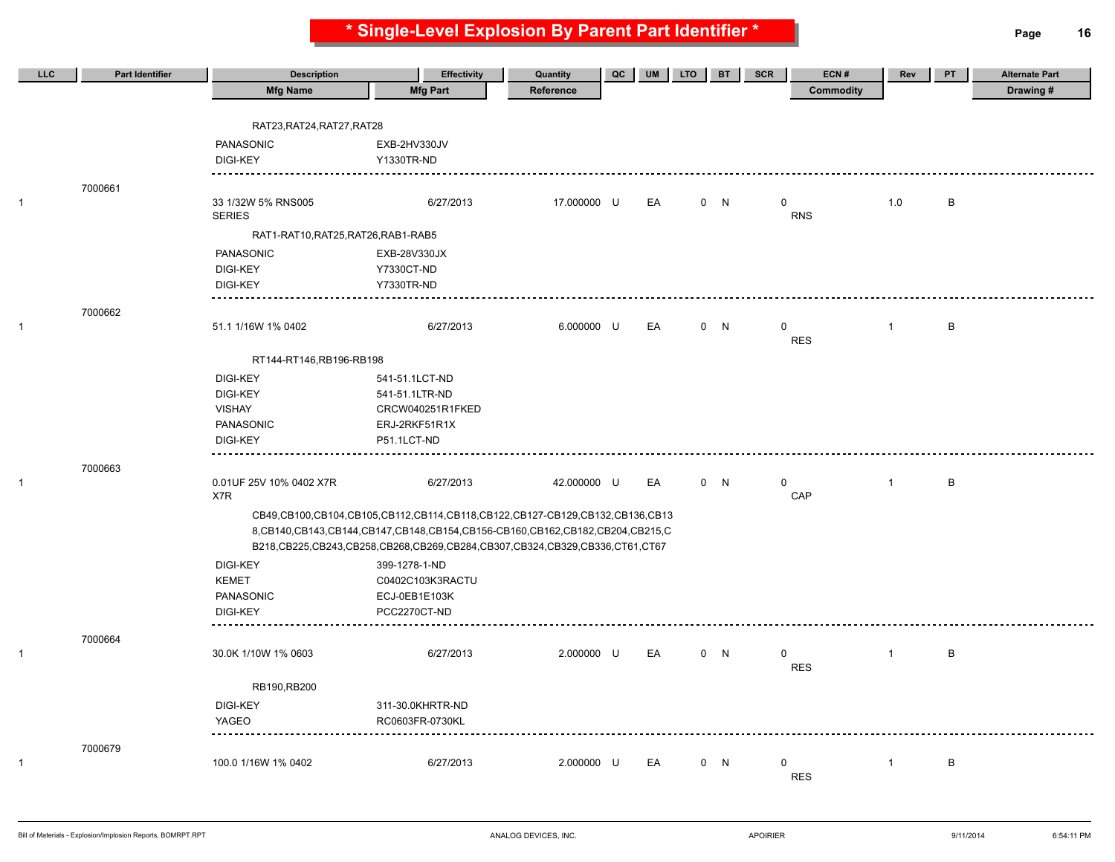**\* Single-Level Explosion By Parent Part Identifier \* Page 16**

| LLC.         | <b>Part Identifier</b> | <b>Description</b>                  | <b>Effectivity</b>                                                               | Quantity    | QC | <b>UM</b> | <b>LTO</b> | <b>BT</b> | <b>SCR</b>  | ECN#       | Rev            | PT | <b>Alternate Part</b> |
|--------------|------------------------|-------------------------------------|----------------------------------------------------------------------------------|-------------|----|-----------|------------|-----------|-------------|------------|----------------|----|-----------------------|
|              |                        | <b>Mfg Name</b>                     | <b>Mfg Part</b>                                                                  | Reference   |    |           |            |           |             | Commodity  |                |    | Drawing#              |
|              |                        |                                     |                                                                                  |             |    |           |            |           |             |            |                |    |                       |
|              |                        | RAT23, RAT24, RAT27, RAT28          |                                                                                  |             |    |           |            |           |             |            |                |    |                       |
|              |                        | PANASONIC                           | EXB-2HV330JV                                                                     |             |    |           |            |           |             |            |                |    |                       |
|              |                        | <b>DIGI-KEY</b>                     | Y1330TR-ND                                                                       |             |    |           |            |           |             |            |                |    |                       |
|              | 7000661                |                                     |                                                                                  |             |    |           |            |           |             |            |                |    |                       |
| -1           |                        | 33 1/32W 5% RNS005                  | 6/27/2013                                                                        | 17.000000 U |    | EA        |            | 0 N       | $\mathbf 0$ |            | 1.0            | B  |                       |
|              |                        | <b>SERIES</b>                       |                                                                                  |             |    |           |            |           |             | <b>RNS</b> |                |    |                       |
|              |                        | RAT1-RAT10, RAT25, RAT26, RAB1-RAB5 |                                                                                  |             |    |           |            |           |             |            |                |    |                       |
|              |                        | PANASONIC                           | EXB-28V330JX                                                                     |             |    |           |            |           |             |            |                |    |                       |
|              |                        | <b>DIGI-KEY</b>                     | <b>Y7330CT-ND</b>                                                                |             |    |           |            |           |             |            |                |    |                       |
|              |                        | <b>DIGI-KEY</b>                     | <b>Y7330TR-ND</b>                                                                |             |    |           |            |           |             |            |                |    |                       |
|              | 7000662                |                                     |                                                                                  |             |    |           |            |           |             |            |                |    |                       |
| $\mathbf{1}$ |                        | 51.1 1/16W 1% 0402                  | 6/27/2013                                                                        | 6.000000 U  |    | EA        |            | 0 N       | 0           |            | $\overline{1}$ | В  |                       |
|              |                        |                                     |                                                                                  |             |    |           |            |           |             | <b>RES</b> |                |    |                       |
|              |                        | RT144-RT146,RB196-RB198             |                                                                                  |             |    |           |            |           |             |            |                |    |                       |
|              |                        | <b>DIGI-KEY</b>                     | 541-51.1LCT-ND                                                                   |             |    |           |            |           |             |            |                |    |                       |
|              |                        | <b>DIGI-KEY</b>                     | 541-51.1LTR-ND                                                                   |             |    |           |            |           |             |            |                |    |                       |
|              |                        | <b>VISHAY</b>                       | CRCW040251R1FKED                                                                 |             |    |           |            |           |             |            |                |    |                       |
|              |                        | PANASONIC                           | ERJ-2RKF51R1X                                                                    |             |    |           |            |           |             |            |                |    |                       |
|              |                        | <b>DIGI-KEY</b><br><u>.</u>         | P51.1LCT-ND                                                                      |             |    |           |            |           |             |            |                |    |                       |
|              | 7000663                |                                     |                                                                                  |             |    |           |            |           |             |            |                |    |                       |
| 1            |                        | 0.01UF 25V 10% 0402 X7R             | 6/27/2013                                                                        | 42.000000 U |    | EA        |            | 0 N       | 0           |            | $\overline{1}$ | B  |                       |
|              |                        | X7R                                 |                                                                                  |             |    |           |            |           |             | CAP        |                |    |                       |
|              |                        |                                     | CB49,CB100,CB104,CB105,CB112,CB114,CB118,CB122,CB127-CB129,CB132,CB136,CB13      |             |    |           |            |           |             |            |                |    |                       |
|              |                        |                                     | 8, CB140, CB143, CB144, CB147, CB148, CB154, CB156-CB160, CB162, CB204, CB215, C |             |    |           |            |           |             |            |                |    |                       |
|              |                        |                                     | B218,CB225,CB243,CB258,CB268,CB269,CB284,CB307,CB324,CB329,CB336,CT61,CT67       |             |    |           |            |           |             |            |                |    |                       |
|              |                        | <b>DIGI-KEY</b><br><b>KEMET</b>     | 399-1278-1-ND<br>C0402C103K3RACTU                                                |             |    |           |            |           |             |            |                |    |                       |
|              |                        | PANASONIC                           | ECJ-0EB1E103K                                                                    |             |    |           |            |           |             |            |                |    |                       |
|              |                        | <b>DIGI-KEY</b>                     | PCC2270CT-ND                                                                     |             |    |           |            |           |             |            |                |    |                       |
|              |                        |                                     |                                                                                  |             |    |           |            |           |             |            |                |    |                       |
|              | 7000664                |                                     |                                                                                  | 2.000000 U  |    | EA        |            |           | 0           |            |                | B  |                       |
| $\mathbf{1}$ |                        | 30.0K 1/10W 1% 0603                 | 6/27/2013                                                                        |             |    |           |            | 0 N       |             | <b>RES</b> | $\overline{1}$ |    |                       |
|              |                        | RB190, RB200                        |                                                                                  |             |    |           |            |           |             |            |                |    |                       |
|              |                        | <b>DIGI-KEY</b>                     | 311-30.0KHRTR-ND                                                                 |             |    |           |            |           |             |            |                |    |                       |
|              |                        | YAGEO                               | RC0603FR-0730KL                                                                  |             |    |           |            |           |             |            |                |    |                       |
|              |                        |                                     |                                                                                  |             |    |           |            |           |             |            |                |    |                       |
|              | 7000679                |                                     |                                                                                  |             |    |           |            |           |             |            |                |    |                       |
| 1            |                        | 100.0 1/16W 1% 0402                 | 6/27/2013                                                                        | 2.000000 U  |    | EA        |            | 0 N       | 0           | <b>RES</b> | $\mathbf{1}$   | B  |                       |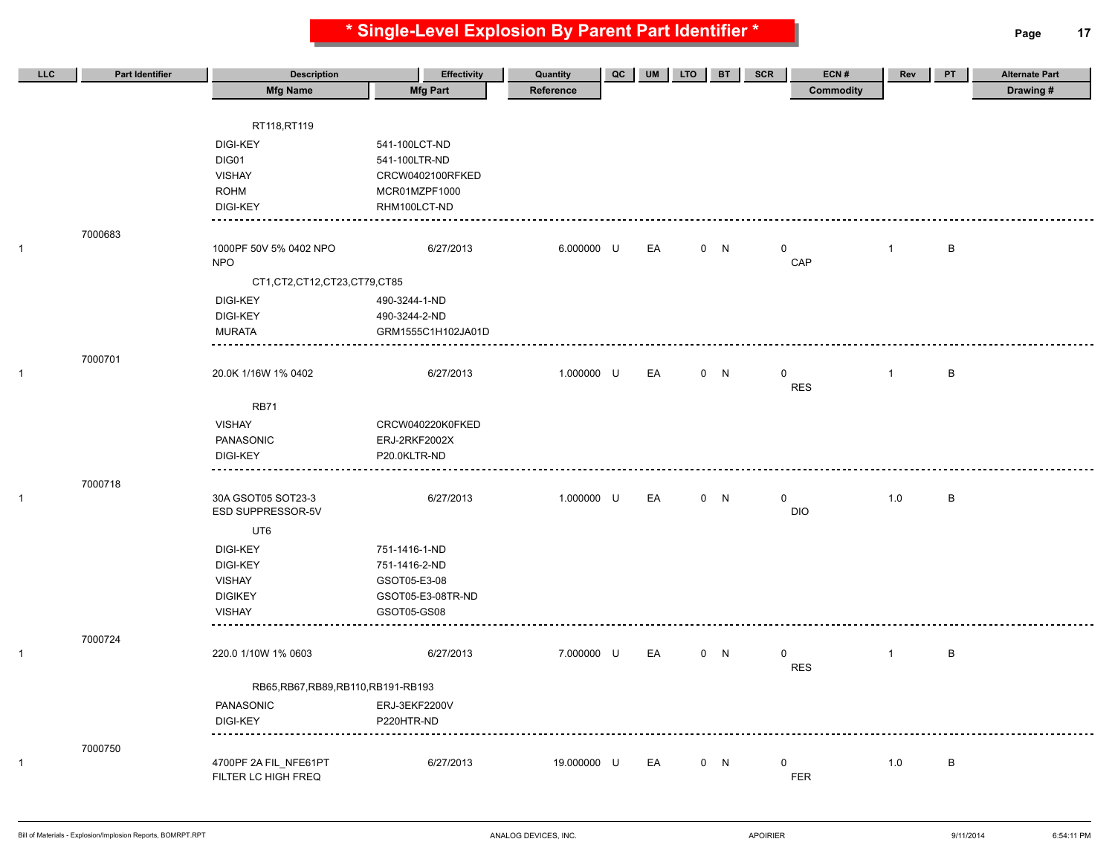**\* Single-Level Explosion By Parent Part Identifier \* Page 17**

| LLC | <b>Part Identifier</b> | <b>Description</b>                   | <b>Effectivity</b> | Quantity    | $_{\rm QC}$ | UM | <b>LTO</b> | <b>BT</b> | SCR         | ECN#             | Rev          | PT           | <b>Alternate Part</b> |
|-----|------------------------|--------------------------------------|--------------------|-------------|-------------|----|------------|-----------|-------------|------------------|--------------|--------------|-----------------------|
|     |                        | <b>Mfg Name</b>                      | <b>Mfg Part</b>    | Reference   |             |    |            |           |             | <b>Commodity</b> |              |              | Drawing#              |
|     |                        |                                      |                    |             |             |    |            |           |             |                  |              |              |                       |
|     |                        | RT118,RT119                          |                    |             |             |    |            |           |             |                  |              |              |                       |
|     |                        | <b>DIGI-KEY</b>                      | 541-100LCT-ND      |             |             |    |            |           |             |                  |              |              |                       |
|     |                        | DIG01                                | 541-100LTR-ND      |             |             |    |            |           |             |                  |              |              |                       |
|     |                        | <b>VISHAY</b>                        | CRCW0402100RFKED   |             |             |    |            |           |             |                  |              |              |                       |
|     |                        | <b>ROHM</b>                          | MCR01MZPF1000      |             |             |    |            |           |             |                  |              |              |                       |
|     |                        | <b>DIGI-KEY</b>                      | RHM100LCT-ND       |             |             |    |            |           |             |                  |              |              |                       |
|     | 7000683                |                                      |                    |             |             |    |            |           |             |                  |              |              |                       |
|     |                        | 1000PF 50V 5% 0402 NPO               | 6/27/2013          | 6.000000 U  |             | EA |            | 0 N       | $\mathbf 0$ |                  | $\mathbf{1}$ | B            |                       |
|     |                        | <b>NPO</b>                           |                    |             |             |    |            |           |             | CAP              |              |              |                       |
|     |                        | CT1, CT2, CT12, CT23, CT79, CT85     |                    |             |             |    |            |           |             |                  |              |              |                       |
|     |                        | <b>DIGI-KEY</b>                      | 490-3244-1-ND      |             |             |    |            |           |             |                  |              |              |                       |
|     |                        | <b>DIGI-KEY</b>                      | 490-3244-2-ND      |             |             |    |            |           |             |                  |              |              |                       |
|     |                        | <b>MURATA</b>                        | GRM1555C1H102JA01D |             |             |    |            |           |             |                  |              |              |                       |
|     |                        |                                      |                    |             |             |    |            |           |             |                  |              |              |                       |
|     | 7000701                | 20.0K 1/16W 1% 0402                  | 6/27/2013          | 1.000000 U  |             | EA |            | 0 N       | $\mathbf 0$ |                  | $\mathbf{1}$ | $\sf B$      |                       |
|     |                        |                                      |                    |             |             |    |            |           |             | <b>RES</b>       |              |              |                       |
|     |                        | <b>RB71</b>                          |                    |             |             |    |            |           |             |                  |              |              |                       |
|     |                        | <b>VISHAY</b>                        | CRCW040220K0FKED   |             |             |    |            |           |             |                  |              |              |                       |
|     |                        | PANASONIC                            | ERJ-2RKF2002X      |             |             |    |            |           |             |                  |              |              |                       |
|     |                        | <b>DIGI-KEY</b>                      | P20.0KLTR-ND       |             |             |    |            |           |             |                  |              |              |                       |
|     |                        |                                      |                    |             |             |    |            |           |             |                  |              |              |                       |
|     | 7000718                |                                      |                    |             |             |    |            |           |             |                  |              |              |                       |
|     |                        | 30A GSOT05 SOT23-3                   | 6/27/2013          | 1.000000 U  |             | EA |            | 0 N       | 0           |                  | 1.0          | $\, {\sf B}$ |                       |
|     |                        | ESD SUPPRESSOR-5V                    |                    |             |             |    |            |           |             | <b>DIO</b>       |              |              |                       |
|     |                        | UT6                                  |                    |             |             |    |            |           |             |                  |              |              |                       |
|     |                        | <b>DIGI-KEY</b>                      | 751-1416-1-ND      |             |             |    |            |           |             |                  |              |              |                       |
|     |                        | <b>DIGI-KEY</b>                      | 751-1416-2-ND      |             |             |    |            |           |             |                  |              |              |                       |
|     |                        | <b>VISHAY</b>                        | GSOT05-E3-08       |             |             |    |            |           |             |                  |              |              |                       |
|     |                        | <b>DIGIKEY</b>                       | GSOT05-E3-08TR-ND  |             |             |    |            |           |             |                  |              |              |                       |
|     |                        | <b>VISHAY</b>                        | GSOT05-GS08        |             |             |    |            |           |             |                  |              |              |                       |
|     | 7000724                |                                      |                    |             |             |    |            |           |             |                  |              |              |                       |
|     |                        | 220.0 1/10W 1% 0603                  | 6/27/2013          | 7.000000 U  |             | EA |            | 0 N       | 0           |                  | $\mathbf{1}$ | $\, {\sf B}$ |                       |
|     |                        |                                      |                    |             |             |    |            |           |             | <b>RES</b>       |              |              |                       |
|     |                        | RB65, RB67, RB89, RB110, RB191-RB193 |                    |             |             |    |            |           |             |                  |              |              |                       |
|     |                        | PANASONIC                            | ERJ-3EKF2200V      |             |             |    |            |           |             |                  |              |              |                       |
|     |                        | <b>DIGI-KEY</b>                      | P220HTR-ND         |             |             |    |            |           |             |                  |              |              |                       |
|     |                        |                                      |                    |             |             |    |            |           |             |                  |              |              |                       |
|     | 7000750                |                                      |                    |             |             |    |            |           |             |                  |              |              |                       |
|     |                        | 4700PF 2A FIL_NFE61PT                | 6/27/2013          | 19.000000 U |             | EA |            | 0 N       | $\mathbf 0$ |                  | 1.0          | $\sf B$      |                       |
|     |                        | FILTER LC HIGH FREQ                  |                    |             |             |    |            |           |             | <b>FER</b>       |              |              |                       |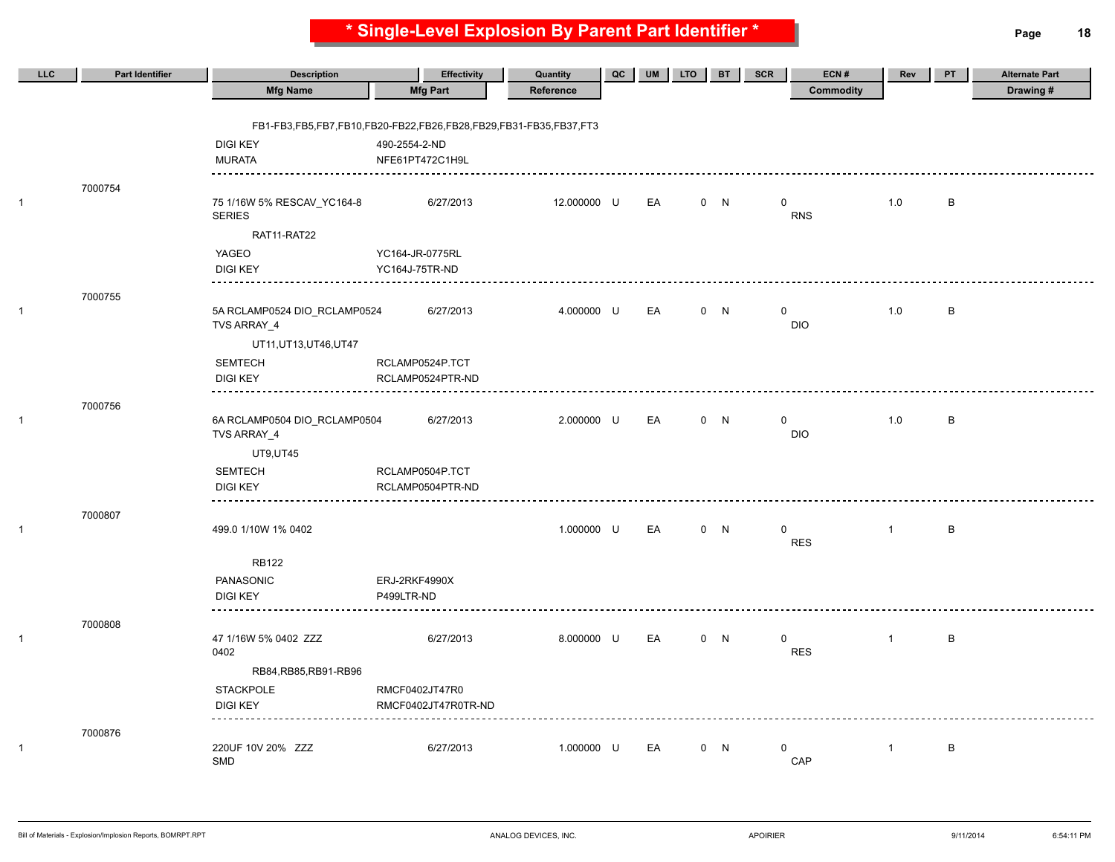**\* Single-Level Explosion By Parent Part Identifier \* Page 18**

| LLC | <b>Part Identifier</b> | <b>Description</b>                          | Effectivity                                                      | Quantity    | QC | <b>UM</b> | <b>LTO</b> | <b>BT</b> | SCR         | ECN#             | Rev          | PT           | <b>Alternate Part</b> |
|-----|------------------------|---------------------------------------------|------------------------------------------------------------------|-------------|----|-----------|------------|-----------|-------------|------------------|--------------|--------------|-----------------------|
|     |                        | <b>Mfg Name</b>                             | <b>Mfg Part</b>                                                  | Reference   |    |           |            |           |             | <b>Commodity</b> |              |              | Drawing#              |
|     |                        |                                             |                                                                  |             |    |           |            |           |             |                  |              |              |                       |
|     |                        |                                             | FB1-FB3,FB5,FB7,FB10,FB20-FB22,FB26,FB28,FB29,FB31-FB35,FB37,FT3 |             |    |           |            |           |             |                  |              |              |                       |
|     |                        | <b>DIGI KEY</b>                             | 490-2554-2-ND                                                    |             |    |           |            |           |             |                  |              |              |                       |
|     |                        | <b>MURATA</b>                               | NFE61PT472C1H9L                                                  |             |    |           |            |           |             |                  |              |              |                       |
|     | 7000754                |                                             |                                                                  |             |    |           |            |           |             |                  |              |              |                       |
|     |                        | 75 1/16W 5% RESCAV_YC164-8<br><b>SERIES</b> | 6/27/2013                                                        | 12.000000 U |    | EA        |            | 0 N       | $\mathbf 0$ | <b>RNS</b>       | 1.0          | B            |                       |
|     |                        | RAT11-RAT22                                 |                                                                  |             |    |           |            |           |             |                  |              |              |                       |
|     |                        | YAGEO                                       | YC164-JR-0775RL                                                  |             |    |           |            |           |             |                  |              |              |                       |
|     |                        | <b>DIGI KEY</b>                             | YC164J-75TR-ND                                                   |             |    |           |            |           |             |                  |              |              |                       |
|     | 7000755                |                                             |                                                                  |             |    |           |            |           |             |                  |              |              |                       |
|     |                        | 5A RCLAMP0524 DIO_RCLAMP0524<br>TVS ARRAY_4 | 6/27/2013                                                        | 4.000000 U  |    | EA        |            | 0 N       | $\mathbf 0$ | <b>DIO</b>       | 1.0          | $\, {\sf B}$ |                       |
|     |                        | UT11, UT13, UT46, UT47                      |                                                                  |             |    |           |            |           |             |                  |              |              |                       |
|     |                        | <b>SEMTECH</b>                              | RCLAMP0524P.TCT                                                  |             |    |           |            |           |             |                  |              |              |                       |
|     |                        | <b>DIGI KEY</b>                             | RCLAMP0524PTR-ND                                                 |             |    |           |            |           |             |                  |              |              |                       |
|     | 7000756                | ---------                                   |                                                                  |             |    |           |            |           |             |                  |              |              |                       |
|     |                        | 6A RCLAMP0504 DIO_RCLAMP0504<br>TVS ARRAY_4 | 6/27/2013                                                        | 2.000000 U  |    | EA        |            | 0 N       | $\mathbf 0$ | <b>DIO</b>       | 1.0          | B            |                       |
|     |                        | <b>UT9,UT45</b>                             |                                                                  |             |    |           |            |           |             |                  |              |              |                       |
|     |                        | SEMTECH                                     | RCLAMP0504P.TCT                                                  |             |    |           |            |           |             |                  |              |              |                       |
|     |                        | <b>DIGI KEY</b>                             | RCLAMP0504PTR-ND                                                 |             |    |           |            |           |             |                  |              |              |                       |
|     | 7000807                |                                             |                                                                  |             |    |           |            |           |             |                  |              |              |                       |
|     |                        | 499.0 1/10W 1% 0402                         |                                                                  | 1.000000 U  |    | EA        |            | 0 N       | $\mathbf 0$ |                  | $\mathbf{1}$ | $\, {\sf B}$ |                       |
|     |                        |                                             |                                                                  |             |    |           |            |           |             | <b>RES</b>       |              |              |                       |
|     |                        | <b>RB122</b>                                |                                                                  |             |    |           |            |           |             |                  |              |              |                       |
|     |                        | PANASONIC                                   | ERJ-2RKF4990X                                                    |             |    |           |            |           |             |                  |              |              |                       |
|     |                        | <b>DIGI KEY</b>                             | P499LTR-ND                                                       |             |    |           |            |           |             |                  |              |              |                       |
|     | 7000808                |                                             |                                                                  |             |    |           |            |           |             |                  |              |              |                       |
|     |                        | 47 1/16W 5% 0402 ZZZ                        | 6/27/2013                                                        | 8.000000 U  |    | EA        |            | 0 N       | $\mathbf 0$ |                  | $\mathbf{1}$ | B            |                       |
|     |                        | 0402                                        |                                                                  |             |    |           |            |           |             | <b>RES</b>       |              |              |                       |
|     |                        | RB84, RB85, RB91-RB96                       |                                                                  |             |    |           |            |           |             |                  |              |              |                       |
|     |                        | <b>STACKPOLE</b>                            | RMCF0402JT47R0                                                   |             |    |           |            |           |             |                  |              |              |                       |
|     |                        | <b>DIGI KEY</b>                             | RMCF0402JT47R0TR-ND                                              |             |    |           |            |           |             |                  |              |              |                       |
|     | 7000876                |                                             |                                                                  |             |    |           |            |           |             |                  |              |              |                       |
|     |                        | 220UF 10V 20% ZZZ<br>SMD                    | 6/27/2013                                                        | 1.000000 U  |    | EA        |            | 0 N       | $\mathbf 0$ | CAP              | $\mathbf{1}$ | $\, {\sf B}$ |                       |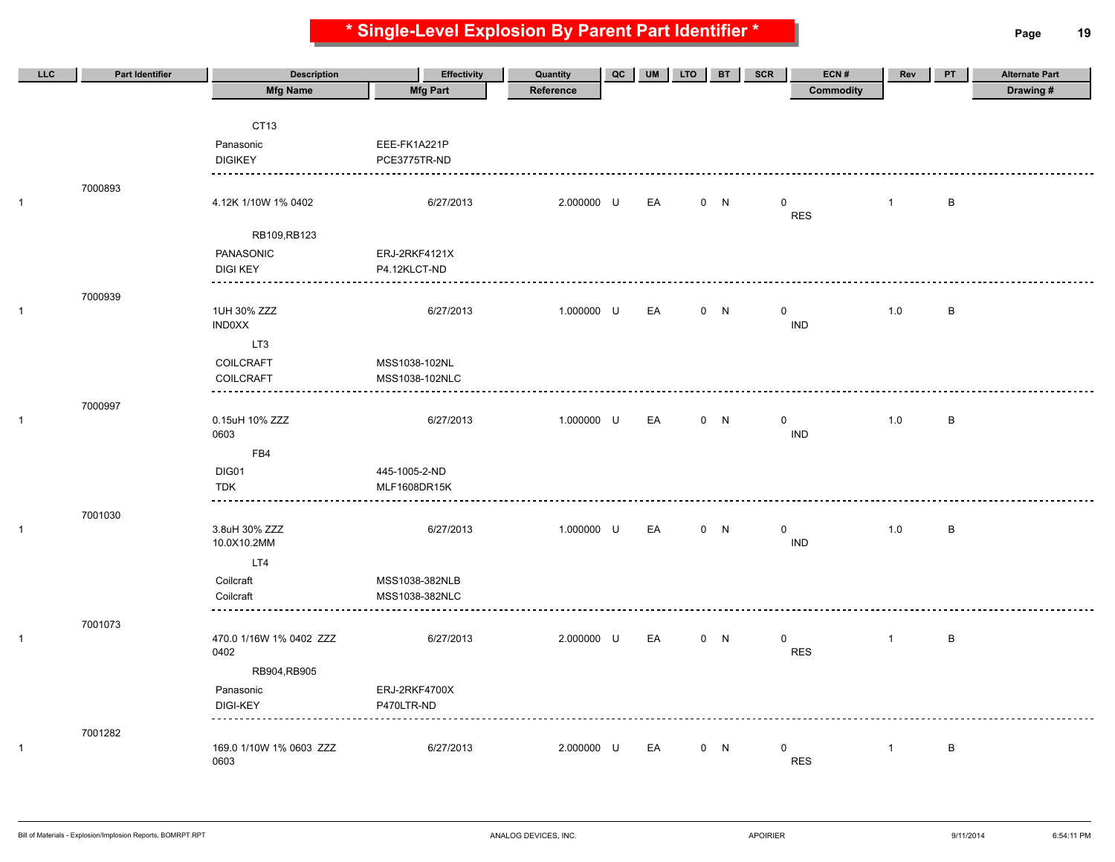**\* Single-Level Explosion By Parent Part Identifier \* Page 19**

| LLC          | <b>Part Identifier</b> | <b>Description</b>      | <b>Effectivity</b> | Quantity   | QC | <b>UM</b> | <b>LTO</b> | <b>BT</b> | <b>SCR</b>  | ECN#       | Rev          | PT           | <b>Alternate Part</b> |
|--------------|------------------------|-------------------------|--------------------|------------|----|-----------|------------|-----------|-------------|------------|--------------|--------------|-----------------------|
|              |                        | <b>Mfg Name</b>         | <b>Mfg Part</b>    | Reference  |    |           |            |           |             | Commodity  |              |              | Drawing#              |
|              |                        |                         |                    |            |    |           |            |           |             |            |              |              |                       |
|              |                        | CT <sub>13</sub>        |                    |            |    |           |            |           |             |            |              |              |                       |
|              |                        | Panasonic               | EEE-FK1A221P       |            |    |           |            |           |             |            |              |              |                       |
|              |                        | <b>DIGIKEY</b>          | PCE3775TR-ND       |            |    |           |            |           |             |            |              |              |                       |
|              |                        |                         |                    |            |    |           |            |           |             |            |              |              |                       |
| 1            | 7000893                | 4.12K 1/10W 1% 0402     | 6/27/2013          | 2.000000 U |    | EA        |            | 0 N       | $\mathbf 0$ |            | $\mathbf{1}$ | B            |                       |
|              |                        |                         |                    |            |    |           |            |           |             | <b>RES</b> |              |              |                       |
|              |                        | RB109,RB123             |                    |            |    |           |            |           |             |            |              |              |                       |
|              |                        | PANASONIC               | ERJ-2RKF4121X      |            |    |           |            |           |             |            |              |              |                       |
|              |                        | <b>DIGI KEY</b>         | P4.12KLCT-ND       |            |    |           |            |           |             |            |              |              |                       |
|              |                        |                         |                    |            |    |           |            |           |             |            |              |              |                       |
| 1            | 7000939                | 1UH 30% ZZZ             | 6/27/2013          | 1.000000 U |    | EA        |            | 0 N       | $\mathbf 0$ |            | 1.0          | $\,$ B       |                       |
|              |                        | <b>IND0XX</b>           |                    |            |    |           |            |           |             | <b>IND</b> |              |              |                       |
|              |                        | LT3                     |                    |            |    |           |            |           |             |            |              |              |                       |
|              |                        | COILCRAFT               | MSS1038-102NL      |            |    |           |            |           |             |            |              |              |                       |
|              |                        | <b>COILCRAFT</b>        | MSS1038-102NLC     |            |    |           |            |           |             |            |              |              |                       |
|              |                        | ----------              |                    |            |    |           |            |           |             |            |              |              |                       |
| 1            | 7000997                | 0.15uH 10% ZZZ          | 6/27/2013          | 1.000000 U |    | EA        |            | 0 N       | $\mathbf 0$ |            | 1.0          | $\,$ B       |                       |
|              |                        | 0603                    |                    |            |    |           |            |           |             | <b>IND</b> |              |              |                       |
|              |                        | FB4                     |                    |            |    |           |            |           |             |            |              |              |                       |
|              |                        | DIG01                   | 445-1005-2-ND      |            |    |           |            |           |             |            |              |              |                       |
|              |                        | <b>TDK</b>              | MLF1608DR15K       |            |    |           |            |           |             |            |              |              |                       |
|              |                        | ------                  |                    |            |    |           |            |           |             |            |              |              |                       |
| $\mathbf{1}$ | 7001030                | 3.8uH 30% ZZZ           | 6/27/2013          | 1.000000 U |    | EA        |            | 0 N       | $\mathbf 0$ |            | 1.0          | $\, {\bf B}$ |                       |
|              |                        | 10.0X10.2MM             |                    |            |    |           |            |           |             | <b>IND</b> |              |              |                       |
|              |                        | LT4                     |                    |            |    |           |            |           |             |            |              |              |                       |
|              |                        | Coilcraft               | MSS1038-382NLB     |            |    |           |            |           |             |            |              |              |                       |
|              |                        | Coilcraft               | MSS1038-382NLC     |            |    |           |            |           |             |            |              |              |                       |
|              |                        |                         |                    |            |    |           |            |           |             |            |              |              |                       |
| 1            | 7001073                | 470.0 1/16W 1% 0402 ZZZ | 6/27/2013          | 2.000000 U |    | EA        |            | 0 N       | $\mathbf 0$ |            | $\mathbf{1}$ | B            |                       |
|              |                        | 0402                    |                    |            |    |           |            |           |             | <b>RES</b> |              |              |                       |
|              |                        | RB904,RB905             |                    |            |    |           |            |           |             |            |              |              |                       |
|              |                        | Panasonic               | ERJ-2RKF4700X      |            |    |           |            |           |             |            |              |              |                       |
|              |                        | <b>DIGI-KEY</b>         | P470LTR-ND         |            |    |           |            |           |             |            |              |              |                       |
|              |                        |                         |                    |            |    |           |            |           |             |            |              |              |                       |
| 1            | 7001282                | 169.0 1/10W 1% 0603 ZZZ | 6/27/2013          | 2.000000 U |    | EA        |            | 0 N       | $\mathbf 0$ |            | $\mathbf{1}$ | $\, {\bf B}$ |                       |
|              |                        | 0603                    |                    |            |    |           |            |           |             | <b>RES</b> |              |              |                       |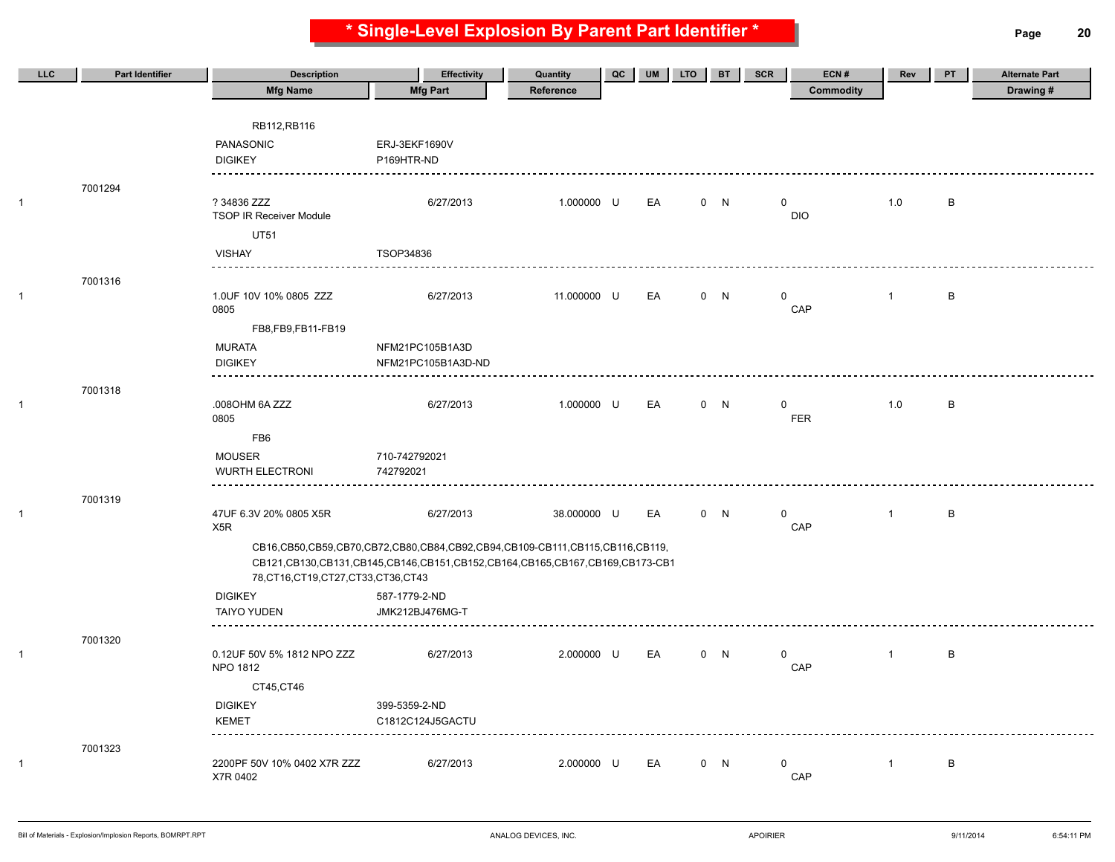**\* Single-Level Explosion By Parent Part Identifier \* Page 20**

| LLC          | <b>Part Identifier</b> | <b>Description</b>                            | <b>Effectivity</b>                                                          | Quantity    | QC | <b>UM</b> | <b>LTO</b> | <b>BT</b> | SCR          | ECN#       | Rev            | PT           | <b>Alternate Part</b> |
|--------------|------------------------|-----------------------------------------------|-----------------------------------------------------------------------------|-------------|----|-----------|------------|-----------|--------------|------------|----------------|--------------|-----------------------|
|              |                        | <b>Mfg Name</b>                               | <b>Mfg Part</b>                                                             | Reference   |    |           |            |           |              | Commodity  |                |              | Drawing#              |
|              |                        |                                               |                                                                             |             |    |           |            |           |              |            |                |              |                       |
|              |                        | RB112, RB116                                  |                                                                             |             |    |           |            |           |              |            |                |              |                       |
|              |                        | PANASONIC                                     | ERJ-3EKF1690V                                                               |             |    |           |            |           |              |            |                |              |                       |
|              |                        | <b>DIGIKEY</b>                                | P169HTR-ND                                                                  |             |    |           |            |           |              |            |                |              |                       |
|              | 7001294                |                                               |                                                                             |             |    |           |            |           |              |            |                |              |                       |
| $\mathbf{1}$ |                        | ? 34836 ZZZ<br><b>TSOP IR Receiver Module</b> | 6/27/2013                                                                   | 1.000000 U  |    | EA        |            | 0 N       | $\mathsf{O}$ | <b>DIO</b> | 1.0            | B            |                       |
|              |                        | <b>UT51</b>                                   |                                                                             |             |    |           |            |           |              |            |                |              |                       |
|              |                        | <b>VISHAY</b>                                 | TSOP34836                                                                   |             |    |           |            |           |              |            |                |              |                       |
|              |                        |                                               |                                                                             |             |    |           |            |           |              |            |                |              |                       |
| $\mathbf{1}$ | 7001316                | 1.0UF 10V 10% 0805 ZZZ<br>0805                | 6/27/2013                                                                   | 11.000000 U |    | EA        |            | 0 N       | $\mathbf{0}$ | CAP        | $\mathbf{1}$   | $\, {\sf B}$ |                       |
|              |                        | FB8,FB9,FB11-FB19                             |                                                                             |             |    |           |            |           |              |            |                |              |                       |
|              |                        | <b>MURATA</b>                                 | NFM21PC105B1A3D                                                             |             |    |           |            |           |              |            |                |              |                       |
|              |                        | <b>DIGIKEY</b><br><u>.</u>                    | NFM21PC105B1A3D-ND                                                          |             |    |           |            |           |              |            |                |              |                       |
|              | 7001318                |                                               |                                                                             |             |    |           |            |           |              |            |                |              |                       |
| $\mathbf{1}$ |                        | .008OHM 6A ZZZ<br>0805                        | 6/27/2013                                                                   | 1.000000 U  |    | EA        |            | 0 N       | 0            | <b>FER</b> | 1.0            | В            |                       |
|              |                        | FB <sub>6</sub>                               |                                                                             |             |    |           |            |           |              |            |                |              |                       |
|              |                        | <b>MOUSER</b>                                 | 710-742792021                                                               |             |    |           |            |           |              |            |                |              |                       |
|              |                        | <b>WURTH ELECTRONI</b>                        | 742792021                                                                   |             |    |           |            |           |              |            |                |              |                       |
|              | 7001319                |                                               |                                                                             |             |    |           |            |           |              |            |                |              |                       |
| $\mathbf{1}$ |                        | 47UF 6.3V 20% 0805 X5R<br>X <sub>5</sub> R    | 6/27/2013                                                                   | 38.000000 U |    | EA        |            | 0 N       | $\mathbf 0$  | CAP        | $\mathbf{1}$   | В            |                       |
|              |                        |                                               | CB16,CB50,CB59,CB70,CB72,CB80,CB84,CB92,CB94,CB109-CB111,CB115,CB116,CB119, |             |    |           |            |           |              |            |                |              |                       |
|              |                        | 78, CT16, CT19, CT27, CT33, CT36, CT43        | CB121,CB130,CB131,CB145,CB146,CB151,CB152,CB164,CB165,CB167,CB169,CB173-CB1 |             |    |           |            |           |              |            |                |              |                       |
|              |                        | <b>DIGIKEY</b>                                | 587-1779-2-ND                                                               |             |    |           |            |           |              |            |                |              |                       |
|              |                        | <b>TAIYO YUDEN</b>                            | JMK212BJ476MG-T                                                             |             |    |           |            |           |              |            |                |              |                       |
|              |                        |                                               |                                                                             |             |    |           |            |           |              |            |                |              |                       |
| $\mathbf{1}$ | 7001320                | 0.12UF 50V 5% 1812 NPO ZZZ<br>NPO 1812        | 6/27/2013                                                                   | 2.000000 U  |    | EA        |            | 0 N       | $\mathbf 0$  | CAP        | $\overline{1}$ | В            |                       |
|              |                        | CT45,CT46                                     |                                                                             |             |    |           |            |           |              |            |                |              |                       |
|              |                        | <b>DIGIKEY</b>                                | 399-5359-2-ND                                                               |             |    |           |            |           |              |            |                |              |                       |
|              |                        | <b>KEMET</b>                                  | C1812C124J5GACTU                                                            |             |    |           |            |           |              |            |                |              |                       |
|              |                        |                                               |                                                                             |             |    |           |            |           |              |            |                |              |                       |
| -1           | 7001323                | 2200PF 50V 10% 0402 X7R ZZZ                   | 6/27/2013                                                                   | 2.000000 U  |    | EA        |            | 0 N       | $\mathbf 0$  |            | $\mathbf{1}$   | В            |                       |
|              |                        | X7R 0402                                      |                                                                             |             |    |           |            |           |              | CAP        |                |              |                       |